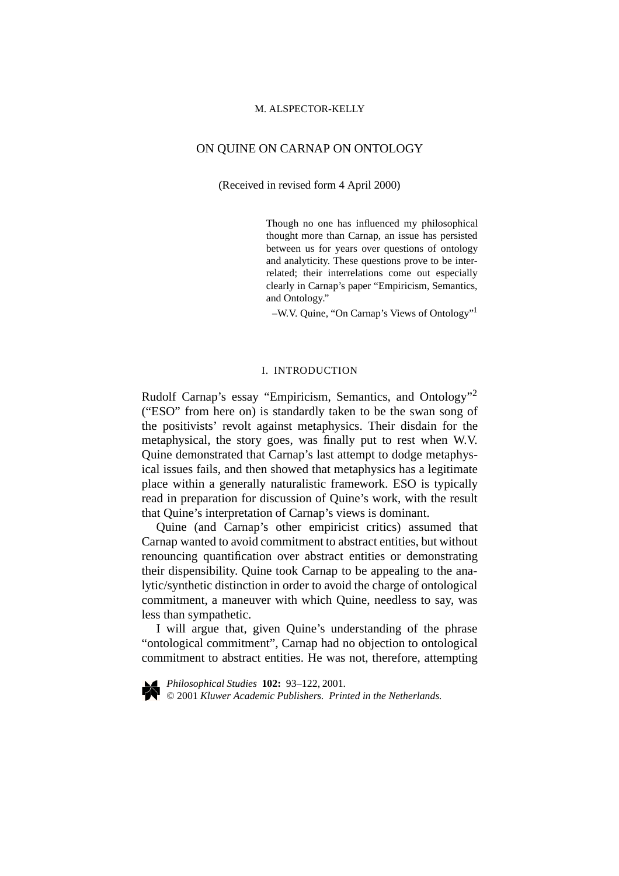## ON QUINE ON CARNAP ON ONTOLOGY

(Received in revised form 4 April 2000)

Though no one has influenced my philosophical thought more than Carnap, an issue has persisted between us for years over questions of ontology and analyticity. These questions prove to be interrelated; their interrelations come out especially clearly in Carnap's paper "Empiricism, Semantics, and Ontology."

–W.V. Quine, "On Carnap's Views of Ontology"1

## I. INTRODUCTION

Rudolf Carnap's essay "Empiricism, Semantics, and Ontology"<sup>2</sup> ("ESO" from here on) is standardly taken to be the swan song of the positivists' revolt against metaphysics. Their disdain for the metaphysical, the story goes, was finally put to rest when W.V. Quine demonstrated that Carnap's last attempt to dodge metaphysical issues fails, and then showed that metaphysics has a legitimate place within a generally naturalistic framework. ESO is typically read in preparation for discussion of Quine's work, with the result that Quine's interpretation of Carnap's views is dominant.

Quine (and Carnap's other empiricist critics) assumed that Carnap wanted to avoid commitment to abstract entities, but without renouncing quantification over abstract entities or demonstrating their dispensibility. Quine took Carnap to be appealing to the analytic/synthetic distinction in order to avoid the charge of ontological commitment, a maneuver with which Quine, needless to say, was less than sympathetic.

I will argue that, given Quine's understanding of the phrase "ontological commitment", Carnap had no objection to ontological commitment to abstract entities. He was not, therefore, attempting

*Philosophical Studies* **102:** 93–122, 2001. © 2001 *Kluwer Academic Publishers. Printed in the Netherlands.*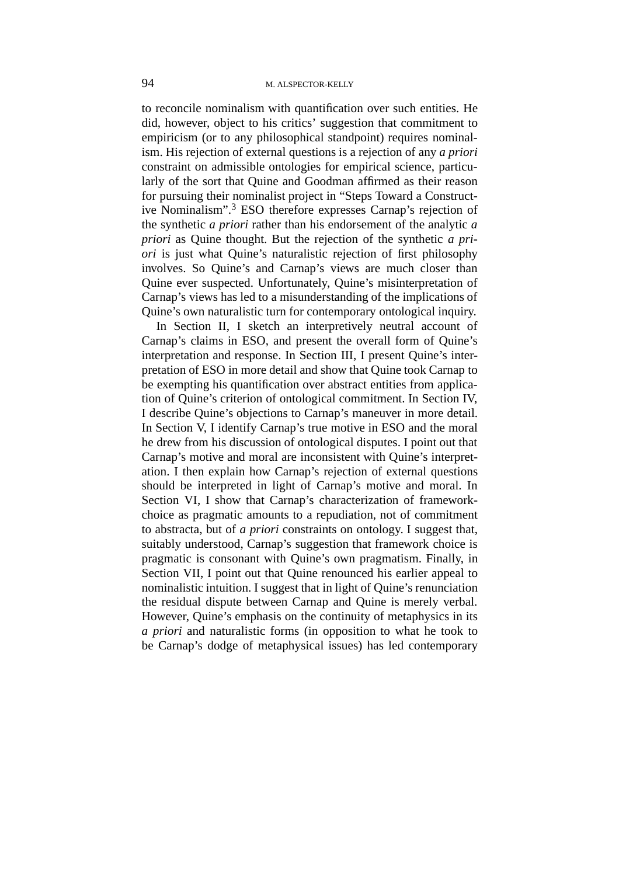to reconcile nominalism with quantification over such entities. He did, however, object to his critics' suggestion that commitment to empiricism (or to any philosophical standpoint) requires nominalism. His rejection of external questions is a rejection of any *a priori* constraint on admissible ontologies for empirical science, particularly of the sort that Quine and Goodman affirmed as their reason for pursuing their nominalist project in "Steps Toward a Constructive Nominalism".<sup>3</sup> ESO therefore expresses Carnap's rejection of the synthetic *a priori* rather than his endorsement of the analytic *a priori* as Quine thought. But the rejection of the synthetic *a priori* is just what Quine's naturalistic rejection of first philosophy involves. So Quine's and Carnap's views are much closer than Quine ever suspected. Unfortunately, Quine's misinterpretation of Carnap's views has led to a misunderstanding of the implications of Quine's own naturalistic turn for contemporary ontological inquiry.

In Section II, I sketch an interpretively neutral account of Carnap's claims in ESO, and present the overall form of Quine's interpretation and response. In Section III, I present Quine's interpretation of ESO in more detail and show that Quine took Carnap to be exempting his quantification over abstract entities from application of Quine's criterion of ontological commitment. In Section IV, I describe Quine's objections to Carnap's maneuver in more detail. In Section V, I identify Carnap's true motive in ESO and the moral he drew from his discussion of ontological disputes. I point out that Carnap's motive and moral are inconsistent with Quine's interpretation. I then explain how Carnap's rejection of external questions should be interpreted in light of Carnap's motive and moral. In Section VI, I show that Carnap's characterization of frameworkchoice as pragmatic amounts to a repudiation, not of commitment to abstracta, but of *a priori* constraints on ontology. I suggest that, suitably understood, Carnap's suggestion that framework choice is pragmatic is consonant with Quine's own pragmatism. Finally, in Section VII, I point out that Quine renounced his earlier appeal to nominalistic intuition. I suggest that in light of Quine's renunciation the residual dispute between Carnap and Quine is merely verbal. However, Quine's emphasis on the continuity of metaphysics in its *a priori* and naturalistic forms (in opposition to what he took to be Carnap's dodge of metaphysical issues) has led contemporary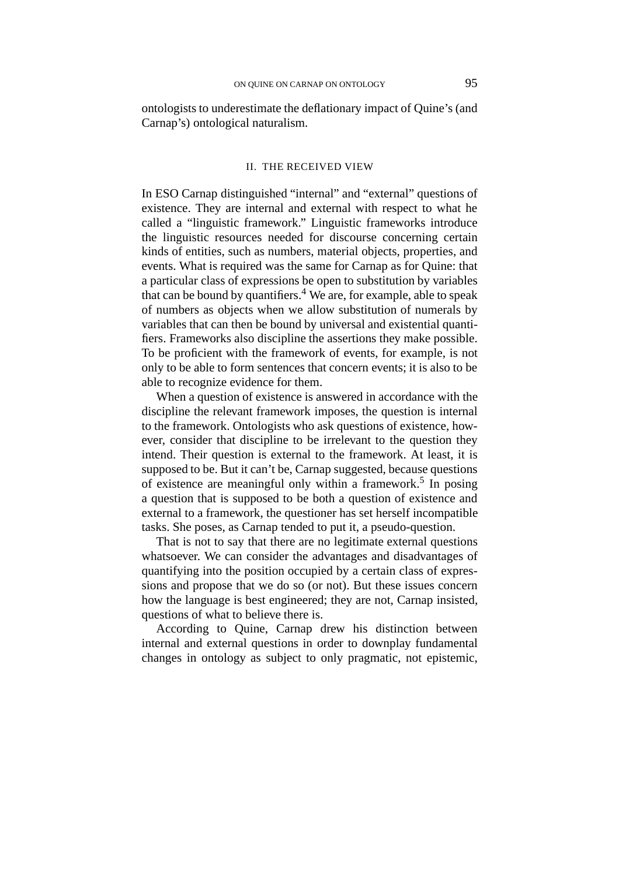ontologists to underestimate the deflationary impact of Quine's (and Carnap's) ontological naturalism.

#### II. THE RECEIVED VIEW

In ESO Carnap distinguished "internal" and "external" questions of existence. They are internal and external with respect to what he called a "linguistic framework." Linguistic frameworks introduce the linguistic resources needed for discourse concerning certain kinds of entities, such as numbers, material objects, properties, and events. What is required was the same for Carnap as for Quine: that a particular class of expressions be open to substitution by variables that can be bound by quantifiers.4 We are, for example, able to speak of numbers as objects when we allow substitution of numerals by variables that can then be bound by universal and existential quantifiers. Frameworks also discipline the assertions they make possible. To be proficient with the framework of events, for example, is not only to be able to form sentences that concern events; it is also to be able to recognize evidence for them.

When a question of existence is answered in accordance with the discipline the relevant framework imposes, the question is internal to the framework. Ontologists who ask questions of existence, however, consider that discipline to be irrelevant to the question they intend. Their question is external to the framework. At least, it is supposed to be. But it can't be, Carnap suggested, because questions of existence are meaningful only within a framework.<sup>5</sup> In posing a question that is supposed to be both a question of existence and external to a framework, the questioner has set herself incompatible tasks. She poses, as Carnap tended to put it, a pseudo-question.

That is not to say that there are no legitimate external questions whatsoever. We can consider the advantages and disadvantages of quantifying into the position occupied by a certain class of expressions and propose that we do so (or not). But these issues concern how the language is best engineered; they are not, Carnap insisted, questions of what to believe there is.

According to Quine, Carnap drew his distinction between internal and external questions in order to downplay fundamental changes in ontology as subject to only pragmatic, not epistemic,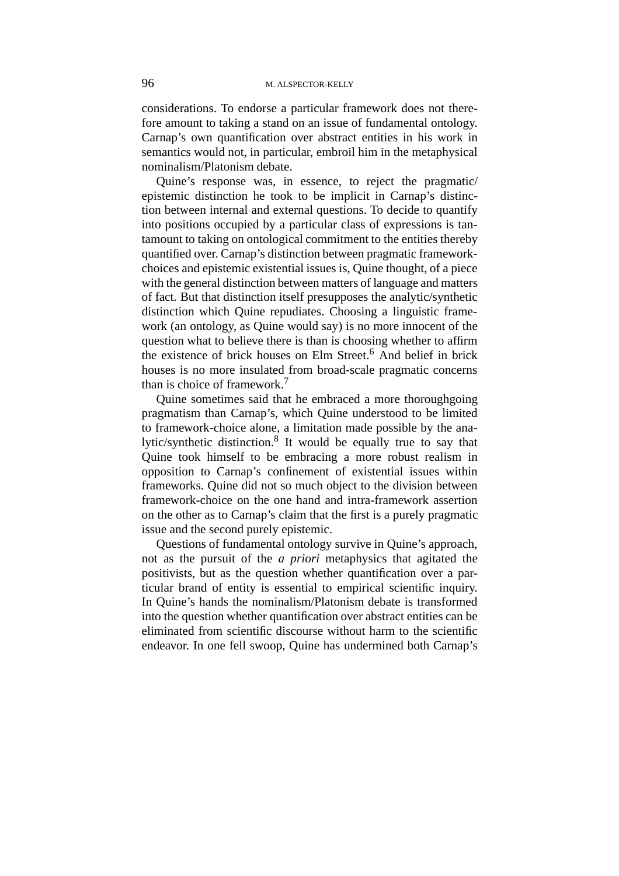considerations. To endorse a particular framework does not therefore amount to taking a stand on an issue of fundamental ontology. Carnap's own quantification over abstract entities in his work in semantics would not, in particular, embroil him in the metaphysical nominalism/Platonism debate.

Quine's response was, in essence, to reject the pragmatic/ epistemic distinction he took to be implicit in Carnap's distinction between internal and external questions. To decide to quantify into positions occupied by a particular class of expressions is tantamount to taking on ontological commitment to the entities thereby quantified over. Carnap's distinction between pragmatic frameworkchoices and epistemic existential issues is, Quine thought, of a piece with the general distinction between matters of language and matters of fact. But that distinction itself presupposes the analytic/synthetic distinction which Quine repudiates. Choosing a linguistic framework (an ontology, as Quine would say) is no more innocent of the question what to believe there is than is choosing whether to affirm the existence of brick houses on Elm Street.<sup>6</sup> And belief in brick houses is no more insulated from broad-scale pragmatic concerns than is choice of framework.<sup>7</sup>

Quine sometimes said that he embraced a more thoroughgoing pragmatism than Carnap's, which Quine understood to be limited to framework-choice alone, a limitation made possible by the analytic/synthetic distinction.<sup>8</sup> It would be equally true to say that Quine took himself to be embracing a more robust realism in opposition to Carnap's confinement of existential issues within frameworks. Quine did not so much object to the division between framework-choice on the one hand and intra-framework assertion on the other as to Carnap's claim that the first is a purely pragmatic issue and the second purely epistemic.

Questions of fundamental ontology survive in Quine's approach, not as the pursuit of the *a priori* metaphysics that agitated the positivists, but as the question whether quantification over a particular brand of entity is essential to empirical scientific inquiry. In Quine's hands the nominalism/Platonism debate is transformed into the question whether quantification over abstract entities can be eliminated from scientific discourse without harm to the scientific endeavor. In one fell swoop, Quine has undermined both Carnap's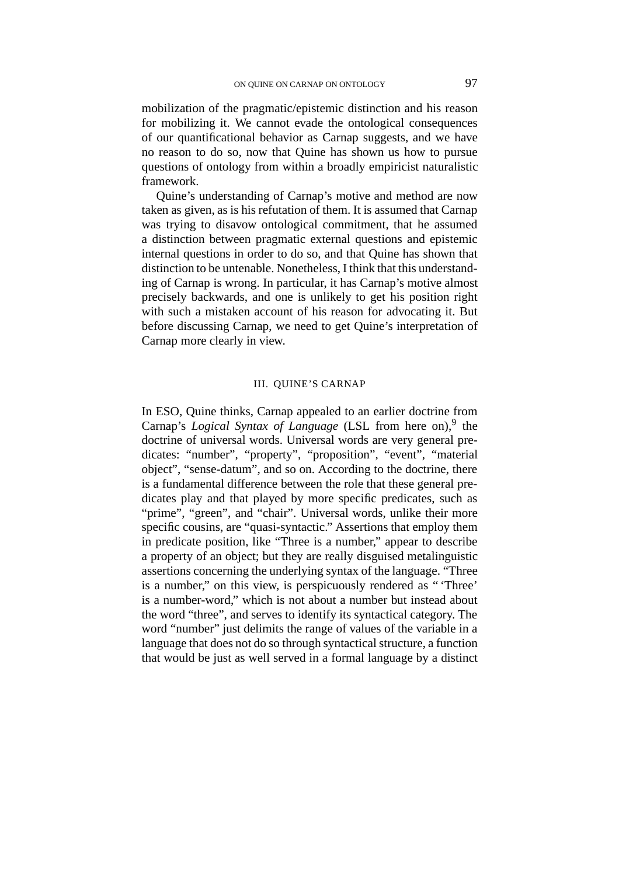mobilization of the pragmatic/epistemic distinction and his reason for mobilizing it. We cannot evade the ontological consequences of our quantificational behavior as Carnap suggests, and we have no reason to do so, now that Quine has shown us how to pursue questions of ontology from within a broadly empiricist naturalistic framework.

Quine's understanding of Carnap's motive and method are now taken as given, as is his refutation of them. It is assumed that Carnap was trying to disavow ontological commitment, that he assumed a distinction between pragmatic external questions and epistemic internal questions in order to do so, and that Quine has shown that distinction to be untenable. Nonetheless, I think that this understanding of Carnap is wrong. In particular, it has Carnap's motive almost precisely backwards, and one is unlikely to get his position right with such a mistaken account of his reason for advocating it. But before discussing Carnap, we need to get Quine's interpretation of Carnap more clearly in view.

## III. QUINE'S CARNAP

In ESO, Quine thinks, Carnap appealed to an earlier doctrine from Carnap's *Logical Syntax of Language* (LSL from here on),<sup>9</sup> the doctrine of universal words. Universal words are very general predicates: "number", "property", "proposition", "event", "material object", "sense-datum", and so on. According to the doctrine, there is a fundamental difference between the role that these general predicates play and that played by more specific predicates, such as "prime", "green", and "chair". Universal words, unlike their more specific cousins, are "quasi-syntactic." Assertions that employ them in predicate position, like "Three is a number," appear to describe a property of an object; but they are really disguised metalinguistic assertions concerning the underlying syntax of the language. "Three is a number," on this view, is perspicuously rendered as " 'Three' is a number-word," which is not about a number but instead about the word "three", and serves to identify its syntactical category. The word "number" just delimits the range of values of the variable in a language that does not do so through syntactical structure, a function that would be just as well served in a formal language by a distinct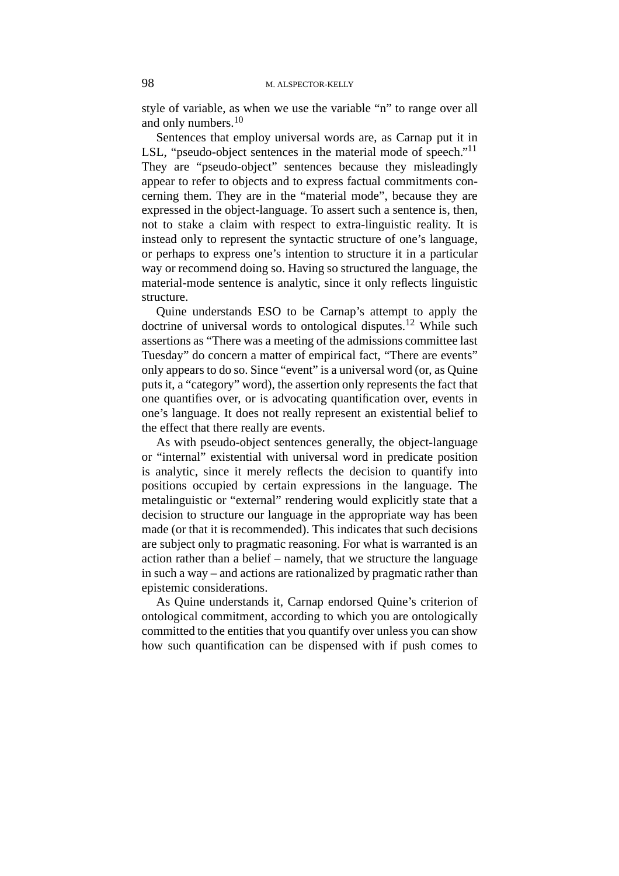style of variable, as when we use the variable "n" to range over all and only numbers.<sup>10</sup>

Sentences that employ universal words are, as Carnap put it in LSL, "pseudo-object sentences in the material mode of speech."<sup>11</sup> They are "pseudo-object" sentences because they misleadingly appear to refer to objects and to express factual commitments concerning them. They are in the "material mode", because they are expressed in the object-language. To assert such a sentence is, then, not to stake a claim with respect to extra-linguistic reality. It is instead only to represent the syntactic structure of one's language, or perhaps to express one's intention to structure it in a particular way or recommend doing so. Having so structured the language, the material-mode sentence is analytic, since it only reflects linguistic structure.

Quine understands ESO to be Carnap's attempt to apply the doctrine of universal words to ontological disputes.<sup>12</sup> While such assertions as "There was a meeting of the admissions committee last Tuesday" do concern a matter of empirical fact, "There are events" only appears to do so. Since "event" is a universal word (or, as Quine puts it, a "category" word), the assertion only represents the fact that one quantifies over, or is advocating quantification over, events in one's language. It does not really represent an existential belief to the effect that there really are events.

As with pseudo-object sentences generally, the object-language or "internal" existential with universal word in predicate position is analytic, since it merely reflects the decision to quantify into positions occupied by certain expressions in the language. The metalinguistic or "external" rendering would explicitly state that a decision to structure our language in the appropriate way has been made (or that it is recommended). This indicates that such decisions are subject only to pragmatic reasoning. For what is warranted is an action rather than a belief – namely, that we structure the language in such a way – and actions are rationalized by pragmatic rather than epistemic considerations.

As Quine understands it, Carnap endorsed Quine's criterion of ontological commitment, according to which you are ontologically committed to the entities that you quantify over unless you can show how such quantification can be dispensed with if push comes to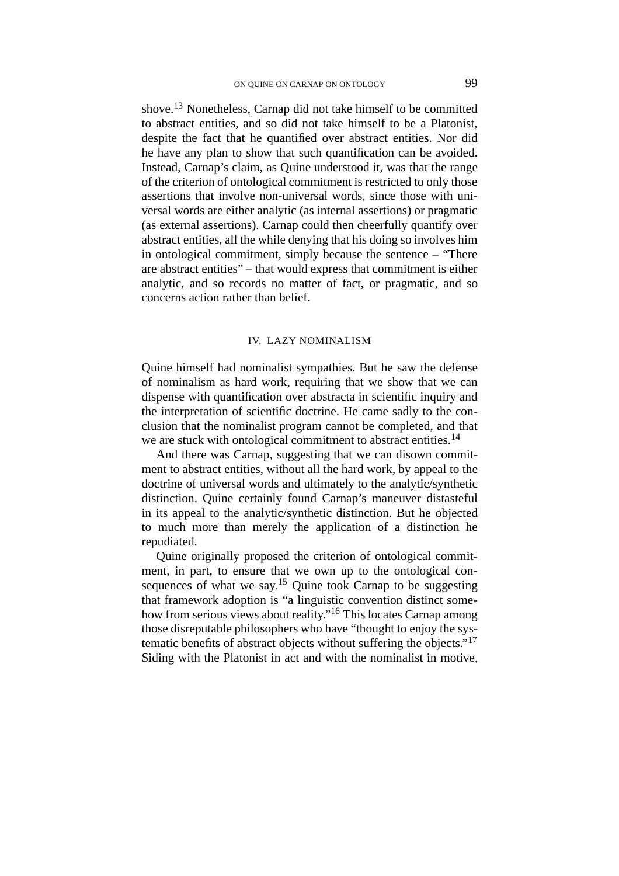shove.<sup>13</sup> Nonetheless, Carnap did not take himself to be committed to abstract entities, and so did not take himself to be a Platonist, despite the fact that he quantified over abstract entities. Nor did he have any plan to show that such quantification can be avoided. Instead, Carnap's claim, as Quine understood it, was that the range of the criterion of ontological commitment is restricted to only those assertions that involve non-universal words, since those with universal words are either analytic (as internal assertions) or pragmatic (as external assertions). Carnap could then cheerfully quantify over abstract entities, all the while denying that his doing so involves him in ontological commitment, simply because the sentence – "There are abstract entities" – that would express that commitment is either analytic, and so records no matter of fact, or pragmatic, and so concerns action rather than belief.

### IV. LAZY NOMINALISM

Quine himself had nominalist sympathies. But he saw the defense of nominalism as hard work, requiring that we show that we can dispense with quantification over abstracta in scientific inquiry and the interpretation of scientific doctrine. He came sadly to the conclusion that the nominalist program cannot be completed, and that we are stuck with ontological commitment to abstract entities.<sup>14</sup>

And there was Carnap, suggesting that we can disown commitment to abstract entities, without all the hard work, by appeal to the doctrine of universal words and ultimately to the analytic/synthetic distinction. Quine certainly found Carnap's maneuver distasteful in its appeal to the analytic/synthetic distinction. But he objected to much more than merely the application of a distinction he repudiated.

Quine originally proposed the criterion of ontological commitment, in part, to ensure that we own up to the ontological consequences of what we say.<sup>15</sup> Quine took Carnap to be suggesting that framework adoption is "a linguistic convention distinct somehow from serious views about reality."16 This locates Carnap among those disreputable philosophers who have "thought to enjoy the systematic benefits of abstract objects without suffering the objects."17 Siding with the Platonist in act and with the nominalist in motive,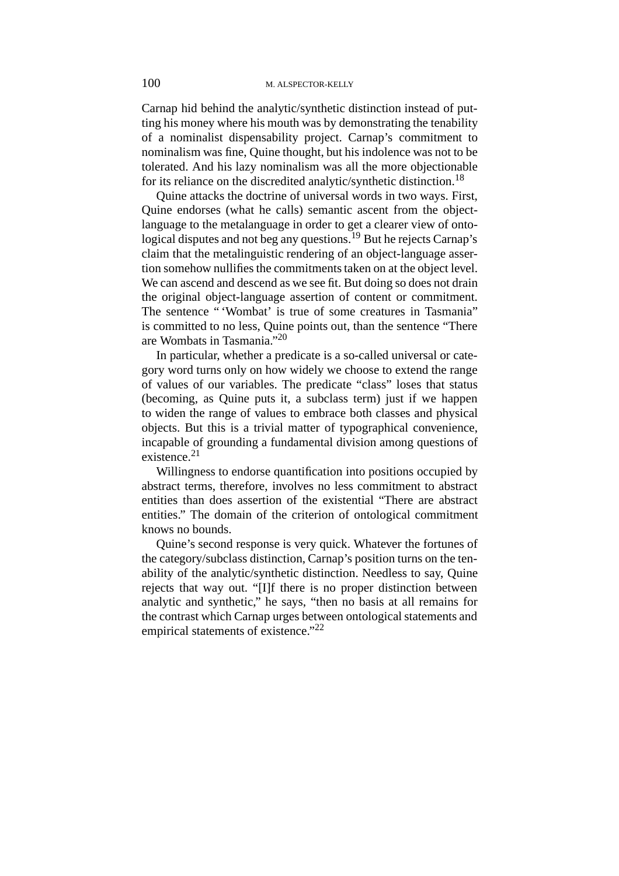Carnap hid behind the analytic/synthetic distinction instead of putting his money where his mouth was by demonstrating the tenability of a nominalist dispensability project. Carnap's commitment to nominalism was fine, Quine thought, but his indolence was not to be tolerated. And his lazy nominalism was all the more objectionable for its reliance on the discredited analytic/synthetic distinction.<sup>18</sup>

Quine attacks the doctrine of universal words in two ways. First, Quine endorses (what he calls) semantic ascent from the objectlanguage to the metalanguage in order to get a clearer view of ontological disputes and not beg any questions.<sup>19</sup> But he rejects Carnap's claim that the metalinguistic rendering of an object-language assertion somehow nullifies the commitments taken on at the object level. We can ascend and descend as we see fit. But doing so does not drain the original object-language assertion of content or commitment. The sentence "'Wombat' is true of some creatures in Tasmania" is committed to no less, Quine points out, than the sentence "There are Wombats in Tasmania."20

In particular, whether a predicate is a so-called universal or category word turns only on how widely we choose to extend the range of values of our variables. The predicate "class" loses that status (becoming, as Quine puts it, a subclass term) just if we happen to widen the range of values to embrace both classes and physical objects. But this is a trivial matter of typographical convenience, incapable of grounding a fundamental division among questions of existence.<sup>21</sup>

Willingness to endorse quantification into positions occupied by abstract terms, therefore, involves no less commitment to abstract entities than does assertion of the existential "There are abstract entities." The domain of the criterion of ontological commitment knows no bounds.

Quine's second response is very quick. Whatever the fortunes of the category/subclass distinction, Carnap's position turns on the tenability of the analytic/synthetic distinction. Needless to say, Quine rejects that way out. "[I]f there is no proper distinction between analytic and synthetic," he says, "then no basis at all remains for the contrast which Carnap urges between ontological statements and empirical statements of existence."<sup>22</sup>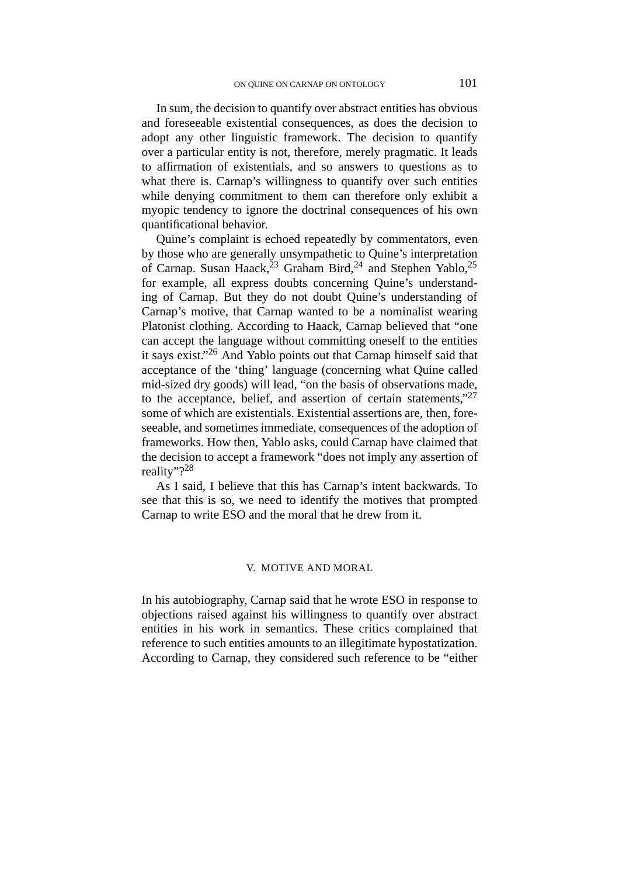In sum, the decision to quantify over abstract entities has obvious and foreseeable existential consequences, as does the decision to adopt any other linguistic framework. The decision to quantify over a particular entity is not, therefore, merely pragmatic. It leads to affirmation of existentials, and so answers to questions as to what there is. Carnap's willingness to quantify over such entities while denying commitment to them can therefore only exhibit a myopic tendency to ignore the doctrinal consequences of his own quantificational behavior.

Quine's complaint is echoed repeatedly by commentators, even by those who are generally unsympathetic to Quine's interpretation of Carnap. Susan Haack, <sup>23</sup> Graham Bird, <sup>24</sup> and Stephen Yablo, <sup>25</sup> for example, all express doubts concerning Quine's understanding of Carnap. But they do not doubt Quine's understanding of Carnap's motive, that Carnap wanted to be a nominalist wearing Platonist clothing. According to Haack, Carnap believed that "one can accept the language without committing oneself to the entities it says exist."26 And Yablo points out that Carnap himself said that acceptance of the 'thing' language (concerning what Quine called mid-sized dry goods) will lead, "on the basis of observations made, to the acceptance, belief, and assertion of certain statements," $27$ some of which are existentials. Existential assertions are, then, foreseeable, and sometimes immediate, consequences of the adoption of frameworks. How then, Yablo asks, could Carnap have claimed that the decision to accept a framework "does not imply any assertion of reality"?<sup>28</sup>

As I said, I believe that this has Carnap's intent backwards. To see that this is so, we need to identify the motives that prompted Carnap to write ESO and the moral that he drew from it.

### V. MOTIVE AND MORAL

In his autobiography, Carnap said that he wrote ESO in response to objections raised against his willingness to quantify over abstract entities in his work in semantics. These critics complained that reference to such entities amounts to an illegitimate hypostatization. According to Carnap, they considered such reference to be "either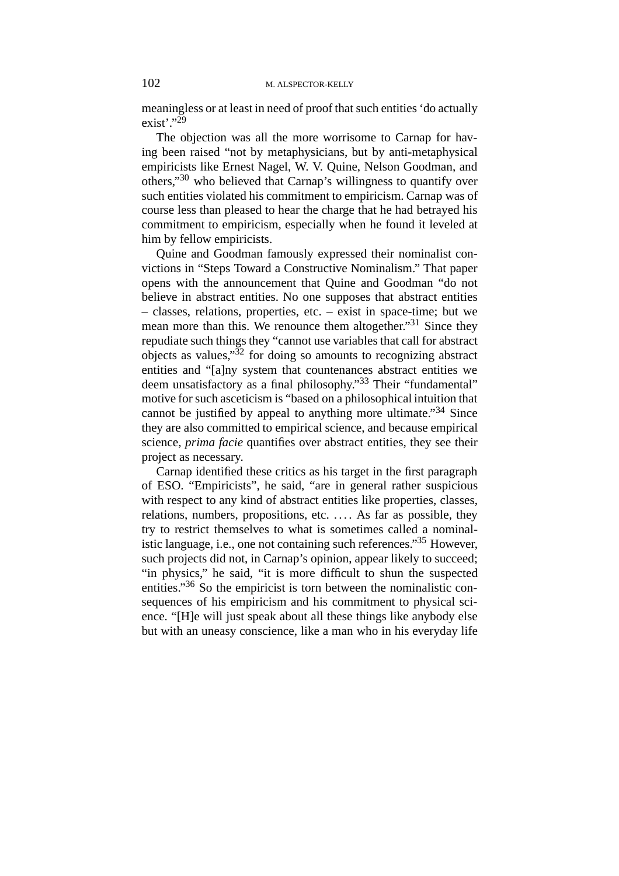meaningless or at least in need of proof that such entities 'do actually  $exist$ <sup>"29</sup>

The objection was all the more worrisome to Carnap for having been raised "not by metaphysicians, but by anti-metaphysical empiricists like Ernest Nagel, W. V. Quine, Nelson Goodman, and others,"30 who believed that Carnap's willingness to quantify over such entities violated his commitment to empiricism. Carnap was of course less than pleased to hear the charge that he had betrayed his commitment to empiricism, especially when he found it leveled at him by fellow empiricists.

Quine and Goodman famously expressed their nominalist convictions in "Steps Toward a Constructive Nominalism." That paper opens with the announcement that Quine and Goodman "do not believe in abstract entities. No one supposes that abstract entities – classes, relations, properties, etc. – exist in space-time; but we mean more than this. We renounce them altogether."<sup>31</sup> Since they repudiate such things they "cannot use variables that call for abstract objects as values,"32 for doing so amounts to recognizing abstract entities and "[a]ny system that countenances abstract entities we deem unsatisfactory as a final philosophy."33 Their "fundamental" motive for such asceticism is "based on a philosophical intuition that cannot be justified by appeal to anything more ultimate."<sup>34</sup> Since they are also committed to empirical science, and because empirical science, *prima facie* quantifies over abstract entities, they see their project as necessary.

Carnap identified these critics as his target in the first paragraph of ESO. "Empiricists", he said, "are in general rather suspicious with respect to any kind of abstract entities like properties, classes, relations, numbers, propositions, etc. . . . . As far as possible, they try to restrict themselves to what is sometimes called a nominalistic language, i.e., one not containing such references."35 However, such projects did not, in Carnap's opinion, appear likely to succeed; "in physics," he said, "it is more difficult to shun the suspected entities."<sup>36</sup> So the empiricist is torn between the nominalistic consequences of his empiricism and his commitment to physical science. "[H]e will just speak about all these things like anybody else but with an uneasy conscience, like a man who in his everyday life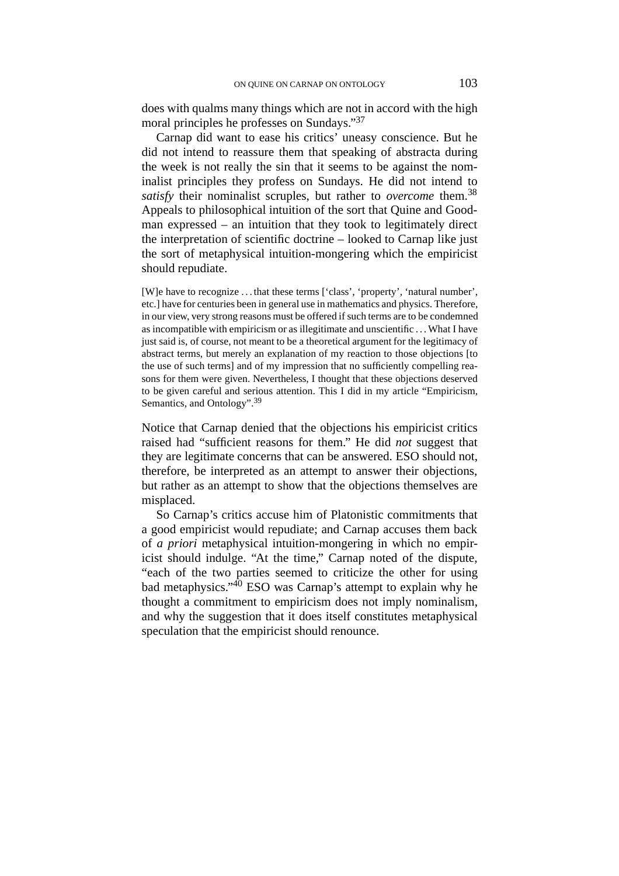does with qualms many things which are not in accord with the high moral principles he professes on Sundays."37

Carnap did want to ease his critics' uneasy conscience. But he did not intend to reassure them that speaking of abstracta during the week is not really the sin that it seems to be against the nominalist principles they profess on Sundays. He did not intend to *satisfy* their nominalist scruples, but rather to *overcome* them.<sup>38</sup> Appeals to philosophical intuition of the sort that Quine and Goodman expressed – an intuition that they took to legitimately direct the interpretation of scientific doctrine – looked to Carnap like just the sort of metaphysical intuition-mongering which the empiricist should repudiate.

[W]e have to recognize . . . that these terms ['class', 'property', 'natural number', etc.] have for centuries been in general use in mathematics and physics. Therefore, in our view, very strong reasons must be offered if such terms are to be condemned as incompatible with empiricism or as illegitimate and unscientific . . . What I have just said is, of course, not meant to be a theoretical argument for the legitimacy of abstract terms, but merely an explanation of my reaction to those objections [to the use of such terms] and of my impression that no sufficiently compelling reasons for them were given. Nevertheless, I thought that these objections deserved to be given careful and serious attention. This I did in my article "Empiricism, Semantics, and Ontology".<sup>39</sup>

Notice that Carnap denied that the objections his empiricist critics raised had "sufficient reasons for them." He did *not* suggest that they are legitimate concerns that can be answered. ESO should not, therefore, be interpreted as an attempt to answer their objections, but rather as an attempt to show that the objections themselves are misplaced.

So Carnap's critics accuse him of Platonistic commitments that a good empiricist would repudiate; and Carnap accuses them back of *a priori* metaphysical intuition-mongering in which no empiricist should indulge. "At the time," Carnap noted of the dispute, "each of the two parties seemed to criticize the other for using bad metaphysics."40 ESO was Carnap's attempt to explain why he thought a commitment to empiricism does not imply nominalism, and why the suggestion that it does itself constitutes metaphysical speculation that the empiricist should renounce.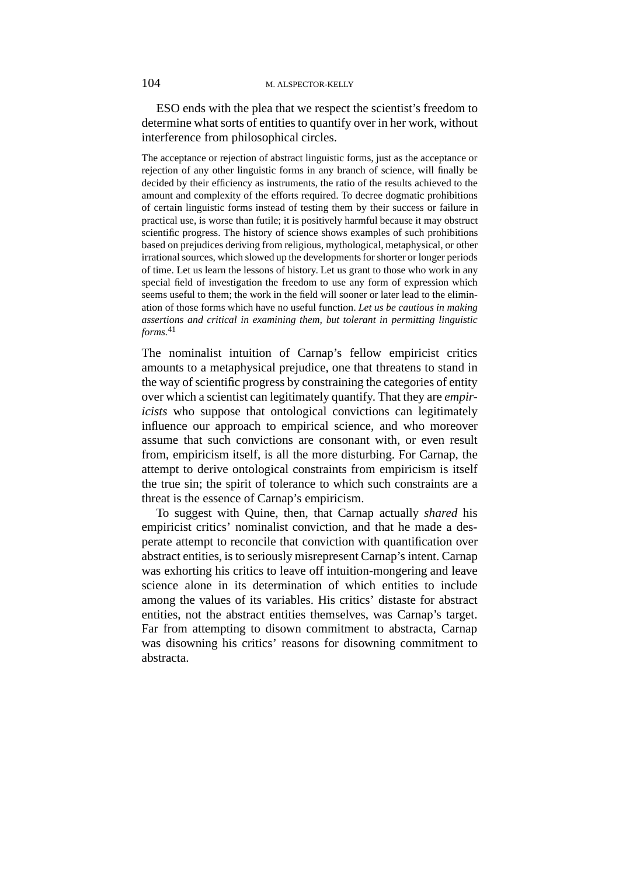ESO ends with the plea that we respect the scientist's freedom to determine what sorts of entities to quantify over in her work, without interference from philosophical circles.

The acceptance or rejection of abstract linguistic forms, just as the acceptance or rejection of any other linguistic forms in any branch of science, will finally be decided by their efficiency as instruments, the ratio of the results achieved to the amount and complexity of the efforts required. To decree dogmatic prohibitions of certain linguistic forms instead of testing them by their success or failure in practical use, is worse than futile; it is positively harmful because it may obstruct scientific progress. The history of science shows examples of such prohibitions based on prejudices deriving from religious, mythological, metaphysical, or other irrational sources, which slowed up the developments for shorter or longer periods of time. Let us learn the lessons of history. Let us grant to those who work in any special field of investigation the freedom to use any form of expression which seems useful to them; the work in the field will sooner or later lead to the elimination of those forms which have no useful function. *Let us be cautious in making assertions and critical in examining them, but tolerant in permitting linguistic forms.*<sup>41</sup>

The nominalist intuition of Carnap's fellow empiricist critics amounts to a metaphysical prejudice, one that threatens to stand in the way of scientific progress by constraining the categories of entity over which a scientist can legitimately quantify. That they are *empiricists* who suppose that ontological convictions can legitimately influence our approach to empirical science, and who moreover assume that such convictions are consonant with, or even result from, empiricism itself, is all the more disturbing. For Carnap, the attempt to derive ontological constraints from empiricism is itself the true sin; the spirit of tolerance to which such constraints are a threat is the essence of Carnap's empiricism.

To suggest with Quine, then, that Carnap actually *shared* his empiricist critics' nominalist conviction, and that he made a desperate attempt to reconcile that conviction with quantification over abstract entities, is to seriously misrepresent Carnap's intent. Carnap was exhorting his critics to leave off intuition-mongering and leave science alone in its determination of which entities to include among the values of its variables. His critics' distaste for abstract entities, not the abstract entities themselves, was Carnap's target. Far from attempting to disown commitment to abstracta, Carnap was disowning his critics' reasons for disowning commitment to abstracta.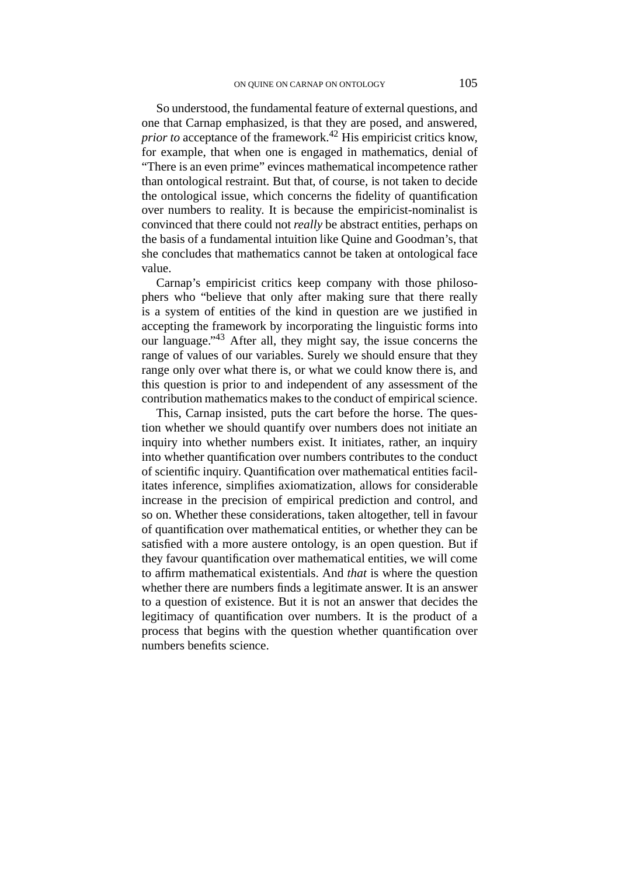So understood, the fundamental feature of external questions, and one that Carnap emphasized, is that they are posed, and answered, *prior to* acceptance of the framework.<sup>42</sup> His empiricist critics know, for example, that when one is engaged in mathematics, denial of "There is an even prime" evinces mathematical incompetence rather than ontological restraint. But that, of course, is not taken to decide the ontological issue, which concerns the fidelity of quantification over numbers to reality. It is because the empiricist-nominalist is convinced that there could not *really* be abstract entities, perhaps on the basis of a fundamental intuition like Quine and Goodman's, that she concludes that mathematics cannot be taken at ontological face value.

Carnap's empiricist critics keep company with those philosophers who "believe that only after making sure that there really is a system of entities of the kind in question are we justified in accepting the framework by incorporating the linguistic forms into our language."43 After all, they might say, the issue concerns the range of values of our variables. Surely we should ensure that they range only over what there is, or what we could know there is, and this question is prior to and independent of any assessment of the contribution mathematics makes to the conduct of empirical science.

This, Carnap insisted, puts the cart before the horse. The question whether we should quantify over numbers does not initiate an inquiry into whether numbers exist. It initiates, rather, an inquiry into whether quantification over numbers contributes to the conduct of scientific inquiry. Quantification over mathematical entities facilitates inference, simplifies axiomatization, allows for considerable increase in the precision of empirical prediction and control, and so on. Whether these considerations, taken altogether, tell in favour of quantification over mathematical entities, or whether they can be satisfied with a more austere ontology, is an open question. But if they favour quantification over mathematical entities, we will come to affirm mathematical existentials. And *that* is where the question whether there are numbers finds a legitimate answer. It is an answer to a question of existence. But it is not an answer that decides the legitimacy of quantification over numbers. It is the product of a process that begins with the question whether quantification over numbers benefits science.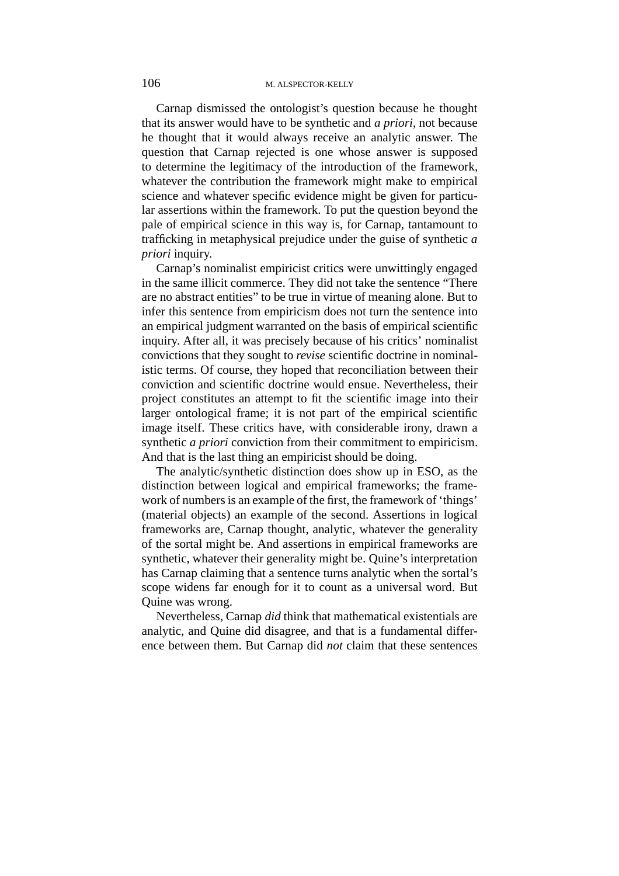Carnap dismissed the ontologist's question because he thought that its answer would have to be synthetic and *a priori*, not because he thought that it would always receive an analytic answer. The question that Carnap rejected is one whose answer is supposed to determine the legitimacy of the introduction of the framework, whatever the contribution the framework might make to empirical science and whatever specific evidence might be given for particular assertions within the framework. To put the question beyond the pale of empirical science in this way is, for Carnap, tantamount to trafficking in metaphysical prejudice under the guise of synthetic *a priori* inquiry.

Carnap's nominalist empiricist critics were unwittingly engaged in the same illicit commerce. They did not take the sentence "There are no abstract entities" to be true in virtue of meaning alone. But to infer this sentence from empiricism does not turn the sentence into an empirical judgment warranted on the basis of empirical scientific inquiry. After all, it was precisely because of his critics' nominalist convictions that they sought to *revise* scientific doctrine in nominalistic terms. Of course, they hoped that reconciliation between their conviction and scientific doctrine would ensue. Nevertheless, their project constitutes an attempt to fit the scientific image into their larger ontological frame; it is not part of the empirical scientific image itself. These critics have, with considerable irony, drawn a synthetic *a priori* conviction from their commitment to empiricism. And that is the last thing an empiricist should be doing.

The analytic/synthetic distinction does show up in ESO, as the distinction between logical and empirical frameworks; the framework of numbers is an example of the first, the framework of 'things' (material objects) an example of the second. Assertions in logical frameworks are, Carnap thought, analytic, whatever the generality of the sortal might be. And assertions in empirical frameworks are synthetic, whatever their generality might be. Quine's interpretation has Carnap claiming that a sentence turns analytic when the sortal's scope widens far enough for it to count as a universal word. But Quine was wrong.

Nevertheless, Carnap *did* think that mathematical existentials are analytic, and Quine did disagree, and that is a fundamental difference between them. But Carnap did *not* claim that these sentences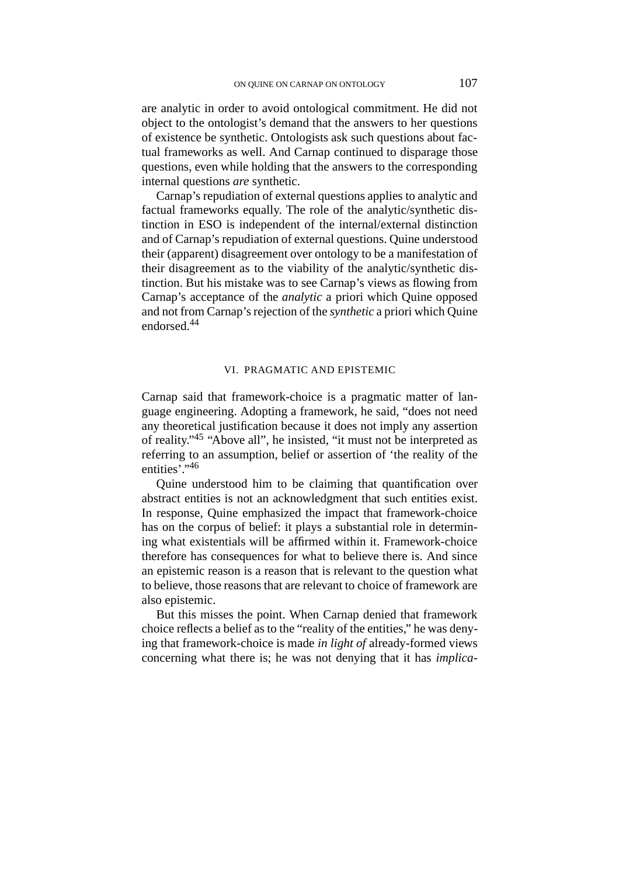are analytic in order to avoid ontological commitment. He did not object to the ontologist's demand that the answers to her questions of existence be synthetic. Ontologists ask such questions about factual frameworks as well. And Carnap continued to disparage those questions, even while holding that the answers to the corresponding internal questions *are* synthetic.

Carnap's repudiation of external questions applies to analytic and factual frameworks equally. The role of the analytic/synthetic distinction in ESO is independent of the internal/external distinction and of Carnap's repudiation of external questions. Quine understood their (apparent) disagreement over ontology to be a manifestation of their disagreement as to the viability of the analytic/synthetic distinction. But his mistake was to see Carnap's views as flowing from Carnap's acceptance of the *analytic* a priori which Quine opposed and not from Carnap's rejection of the *synthetic* a priori which Quine endorsed.44

# VI. PRAGMATIC AND EPISTEMIC

Carnap said that framework-choice is a pragmatic matter of language engineering. Adopting a framework, he said, "does not need any theoretical justification because it does not imply any assertion of reality."45 "Above all", he insisted, "it must not be interpreted as referring to an assumption, belief or assertion of 'the reality of the entities<sup>'</sup>."46

Quine understood him to be claiming that quantification over abstract entities is not an acknowledgment that such entities exist. In response, Quine emphasized the impact that framework-choice has on the corpus of belief: it plays a substantial role in determining what existentials will be affirmed within it. Framework-choice therefore has consequences for what to believe there is. And since an epistemic reason is a reason that is relevant to the question what to believe, those reasons that are relevant to choice of framework are also epistemic.

But this misses the point. When Carnap denied that framework choice reflects a belief as to the "reality of the entities," he was denying that framework-choice is made *in light of* already-formed views concerning what there is; he was not denying that it has *implica-*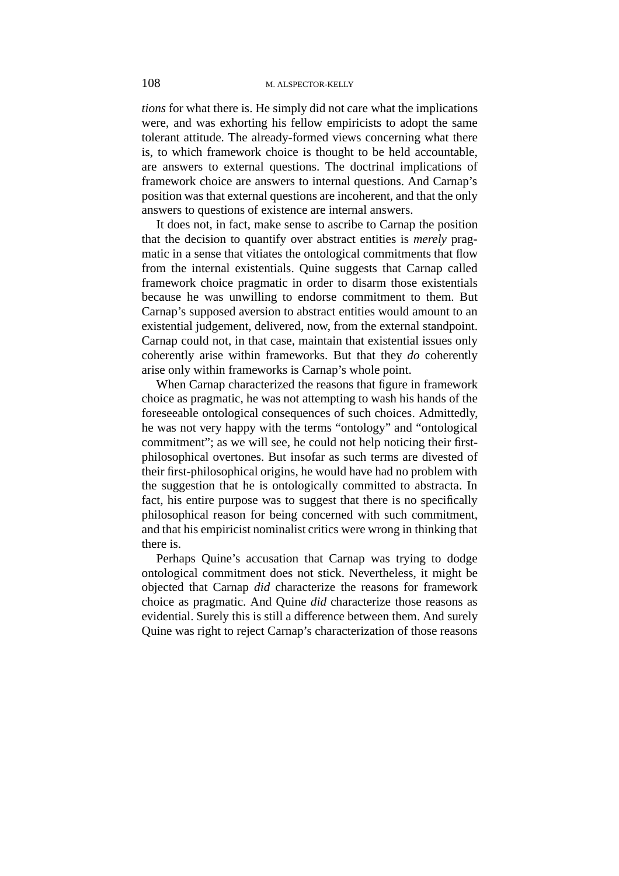*tions* for what there is. He simply did not care what the implications were, and was exhorting his fellow empiricists to adopt the same tolerant attitude. The already-formed views concerning what there is, to which framework choice is thought to be held accountable, are answers to external questions. The doctrinal implications of framework choice are answers to internal questions. And Carnap's position was that external questions are incoherent, and that the only answers to questions of existence are internal answers.

It does not, in fact, make sense to ascribe to Carnap the position that the decision to quantify over abstract entities is *merely* pragmatic in a sense that vitiates the ontological commitments that flow from the internal existentials. Quine suggests that Carnap called framework choice pragmatic in order to disarm those existentials because he was unwilling to endorse commitment to them. But Carnap's supposed aversion to abstract entities would amount to an existential judgement, delivered, now, from the external standpoint. Carnap could not, in that case, maintain that existential issues only coherently arise within frameworks. But that they *do* coherently arise only within frameworks is Carnap's whole point.

When Carnap characterized the reasons that figure in framework choice as pragmatic, he was not attempting to wash his hands of the foreseeable ontological consequences of such choices. Admittedly, he was not very happy with the terms "ontology" and "ontological commitment"; as we will see, he could not help noticing their firstphilosophical overtones. But insofar as such terms are divested of their first-philosophical origins, he would have had no problem with the suggestion that he is ontologically committed to abstracta. In fact, his entire purpose was to suggest that there is no specifically philosophical reason for being concerned with such commitment, and that his empiricist nominalist critics were wrong in thinking that there is.

Perhaps Quine's accusation that Carnap was trying to dodge ontological commitment does not stick. Nevertheless, it might be objected that Carnap *did* characterize the reasons for framework choice as pragmatic. And Quine *did* characterize those reasons as evidential. Surely this is still a difference between them. And surely Quine was right to reject Carnap's characterization of those reasons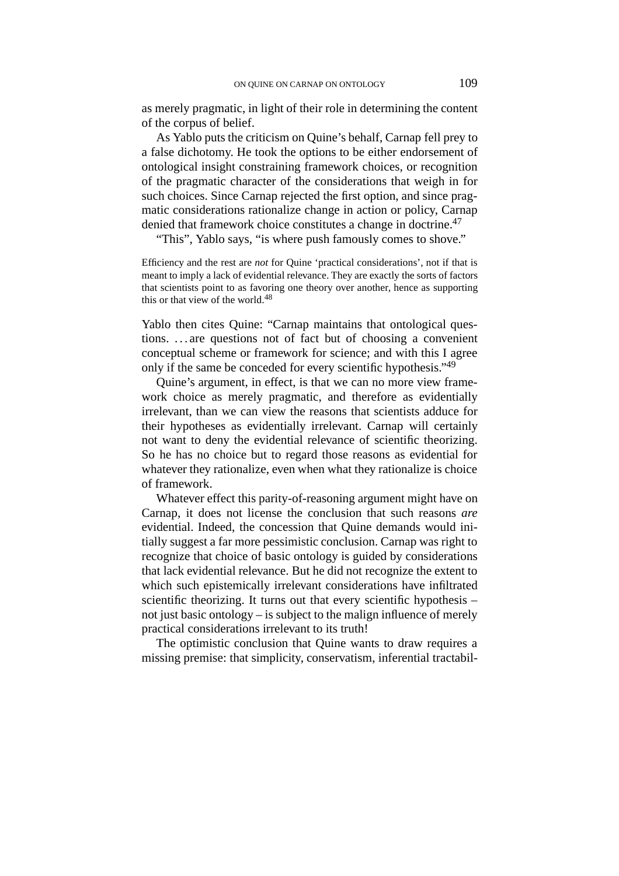as merely pragmatic, in light of their role in determining the content of the corpus of belief.

As Yablo puts the criticism on Quine's behalf, Carnap fell prey to a false dichotomy. He took the options to be either endorsement of ontological insight constraining framework choices, or recognition of the pragmatic character of the considerations that weigh in for such choices. Since Carnap rejected the first option, and since pragmatic considerations rationalize change in action or policy, Carnap denied that framework choice constitutes a change in doctrine.<sup>47</sup>

"This", Yablo says, "is where push famously comes to shove."

Efficiency and the rest are *not* for Quine 'practical considerations', not if that is meant to imply a lack of evidential relevance. They are exactly the sorts of factors that scientists point to as favoring one theory over another, hence as supporting this or that view of the world.<sup>48</sup>

Yablo then cites Quine: "Carnap maintains that ontological questions. . . . are questions not of fact but of choosing a convenient conceptual scheme or framework for science; and with this I agree only if the same be conceded for every scientific hypothesis."<sup>49</sup>

Quine's argument, in effect, is that we can no more view framework choice as merely pragmatic, and therefore as evidentially irrelevant, than we can view the reasons that scientists adduce for their hypotheses as evidentially irrelevant. Carnap will certainly not want to deny the evidential relevance of scientific theorizing. So he has no choice but to regard those reasons as evidential for whatever they rationalize, even when what they rationalize is choice of framework.

Whatever effect this parity-of-reasoning argument might have on Carnap, it does not license the conclusion that such reasons *are* evidential. Indeed, the concession that Quine demands would initially suggest a far more pessimistic conclusion. Carnap was right to recognize that choice of basic ontology is guided by considerations that lack evidential relevance. But he did not recognize the extent to which such epistemically irrelevant considerations have infiltrated scientific theorizing. It turns out that every scientific hypothesis – not just basic ontology – is subject to the malign influence of merely practical considerations irrelevant to its truth!

The optimistic conclusion that Quine wants to draw requires a missing premise: that simplicity, conservatism, inferential tractabil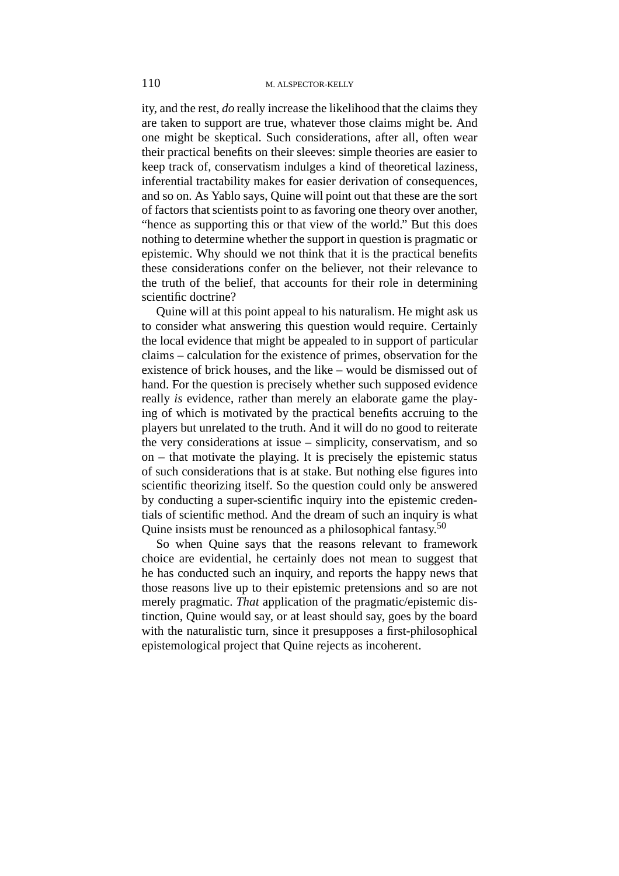ity, and the rest, *do* really increase the likelihood that the claims they are taken to support are true, whatever those claims might be. And one might be skeptical. Such considerations, after all, often wear their practical benefits on their sleeves: simple theories are easier to keep track of, conservatism indulges a kind of theoretical laziness, inferential tractability makes for easier derivation of consequences, and so on. As Yablo says, Quine will point out that these are the sort of factors that scientists point to as favoring one theory over another, "hence as supporting this or that view of the world." But this does nothing to determine whether the support in question is pragmatic or epistemic. Why should we not think that it is the practical benefits these considerations confer on the believer, not their relevance to the truth of the belief, that accounts for their role in determining scientific doctrine?

Quine will at this point appeal to his naturalism. He might ask us to consider what answering this question would require. Certainly the local evidence that might be appealed to in support of particular claims – calculation for the existence of primes, observation for the existence of brick houses, and the like – would be dismissed out of hand. For the question is precisely whether such supposed evidence really *is* evidence, rather than merely an elaborate game the playing of which is motivated by the practical benefits accruing to the players but unrelated to the truth. And it will do no good to reiterate the very considerations at issue – simplicity, conservatism, and so on – that motivate the playing. It is precisely the epistemic status of such considerations that is at stake. But nothing else figures into scientific theorizing itself. So the question could only be answered by conducting a super-scientific inquiry into the epistemic credentials of scientific method. And the dream of such an inquiry is what Quine insists must be renounced as a philosophical fantasy.<sup>50</sup>

So when Quine says that the reasons relevant to framework choice are evidential, he certainly does not mean to suggest that he has conducted such an inquiry, and reports the happy news that those reasons live up to their epistemic pretensions and so are not merely pragmatic. *That* application of the pragmatic/epistemic distinction, Quine would say, or at least should say, goes by the board with the naturalistic turn, since it presupposes a first-philosophical epistemological project that Quine rejects as incoherent.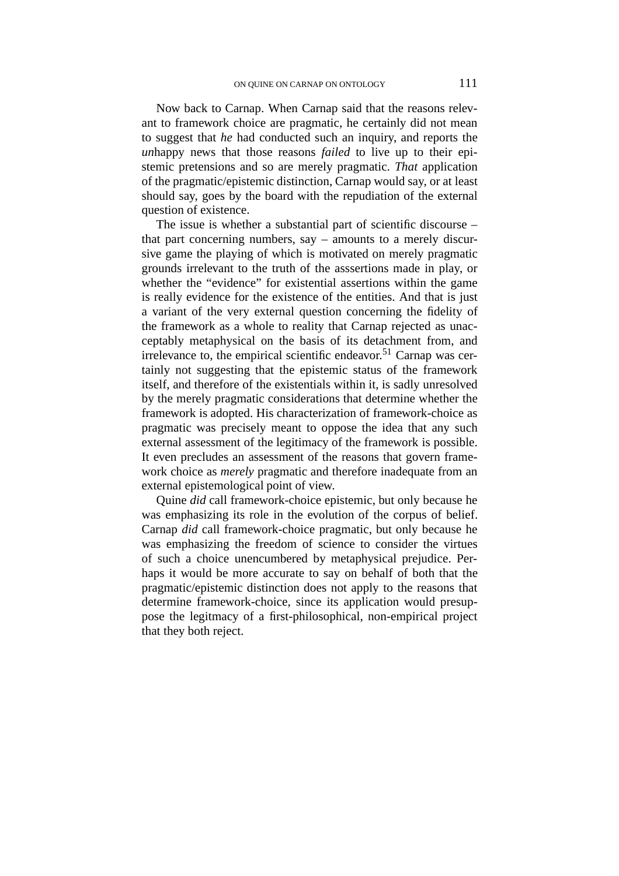Now back to Carnap. When Carnap said that the reasons relevant to framework choice are pragmatic, he certainly did not mean to suggest that *he* had conducted such an inquiry, and reports the *un*happy news that those reasons *failed* to live up to their epistemic pretensions and so are merely pragmatic. *That* application of the pragmatic/epistemic distinction, Carnap would say, or at least should say, goes by the board with the repudiation of the external question of existence.

The issue is whether a substantial part of scientific discourse – that part concerning numbers, say – amounts to a merely discursive game the playing of which is motivated on merely pragmatic grounds irrelevant to the truth of the asssertions made in play, or whether the "evidence" for existential assertions within the game is really evidence for the existence of the entities. And that is just a variant of the very external question concerning the fidelity of the framework as a whole to reality that Carnap rejected as unacceptably metaphysical on the basis of its detachment from, and irrelevance to, the empirical scientific endeavor.<sup>51</sup> Carnap was certainly not suggesting that the epistemic status of the framework itself, and therefore of the existentials within it, is sadly unresolved by the merely pragmatic considerations that determine whether the framework is adopted. His characterization of framework-choice as pragmatic was precisely meant to oppose the idea that any such external assessment of the legitimacy of the framework is possible. It even precludes an assessment of the reasons that govern framework choice as *merely* pragmatic and therefore inadequate from an external epistemological point of view.

Quine *did* call framework-choice epistemic, but only because he was emphasizing its role in the evolution of the corpus of belief. Carnap *did* call framework-choice pragmatic, but only because he was emphasizing the freedom of science to consider the virtues of such a choice unencumbered by metaphysical prejudice. Perhaps it would be more accurate to say on behalf of both that the pragmatic/epistemic distinction does not apply to the reasons that determine framework-choice, since its application would presuppose the legitmacy of a first-philosophical, non-empirical project that they both reject.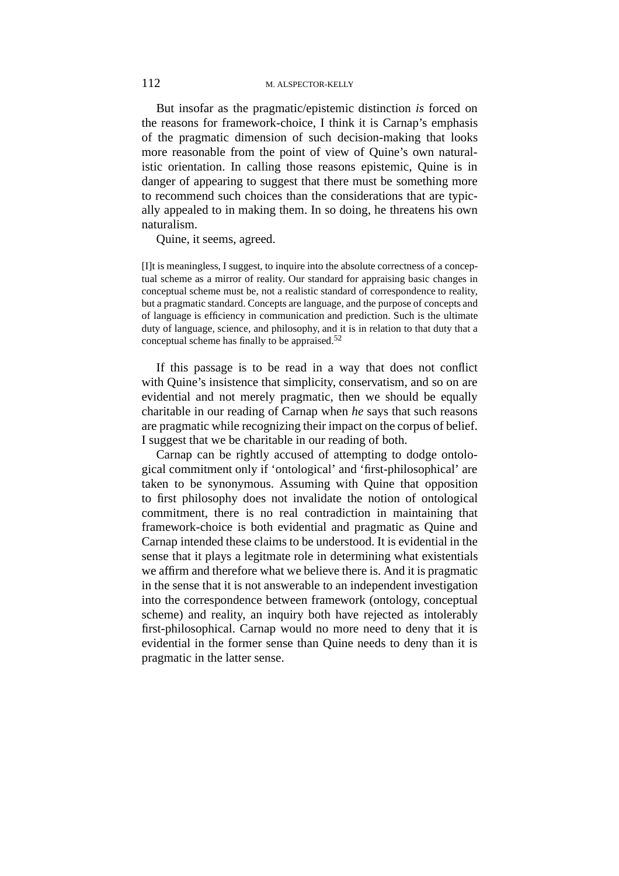But insofar as the pragmatic/epistemic distinction *is* forced on the reasons for framework-choice, I think it is Carnap's emphasis of the pragmatic dimension of such decision-making that looks more reasonable from the point of view of Quine's own naturalistic orientation. In calling those reasons epistemic, Quine is in danger of appearing to suggest that there must be something more to recommend such choices than the considerations that are typically appealed to in making them. In so doing, he threatens his own naturalism.

Quine, it seems, agreed.

[I]t is meaningless, I suggest, to inquire into the absolute correctness of a conceptual scheme as a mirror of reality. Our standard for appraising basic changes in conceptual scheme must be, not a realistic standard of correspondence to reality, but a pragmatic standard. Concepts are language, and the purpose of concepts and of language is efficiency in communication and prediction. Such is the ultimate duty of language, science, and philosophy, and it is in relation to that duty that a conceptual scheme has finally to be appraised.<sup>52</sup>

If this passage is to be read in a way that does not conflict with Quine's insistence that simplicity, conservatism, and so on are evidential and not merely pragmatic, then we should be equally charitable in our reading of Carnap when *he* says that such reasons are pragmatic while recognizing their impact on the corpus of belief. I suggest that we be charitable in our reading of both.

Carnap can be rightly accused of attempting to dodge ontological commitment only if 'ontological' and 'first-philosophical' are taken to be synonymous. Assuming with Quine that opposition to first philosophy does not invalidate the notion of ontological commitment, there is no real contradiction in maintaining that framework-choice is both evidential and pragmatic as Quine and Carnap intended these claims to be understood. It is evidential in the sense that it plays a legitmate role in determining what existentials we affirm and therefore what we believe there is. And it is pragmatic in the sense that it is not answerable to an independent investigation into the correspondence between framework (ontology, conceptual scheme) and reality, an inquiry both have rejected as intolerably first-philosophical. Carnap would no more need to deny that it is evidential in the former sense than Quine needs to deny than it is pragmatic in the latter sense.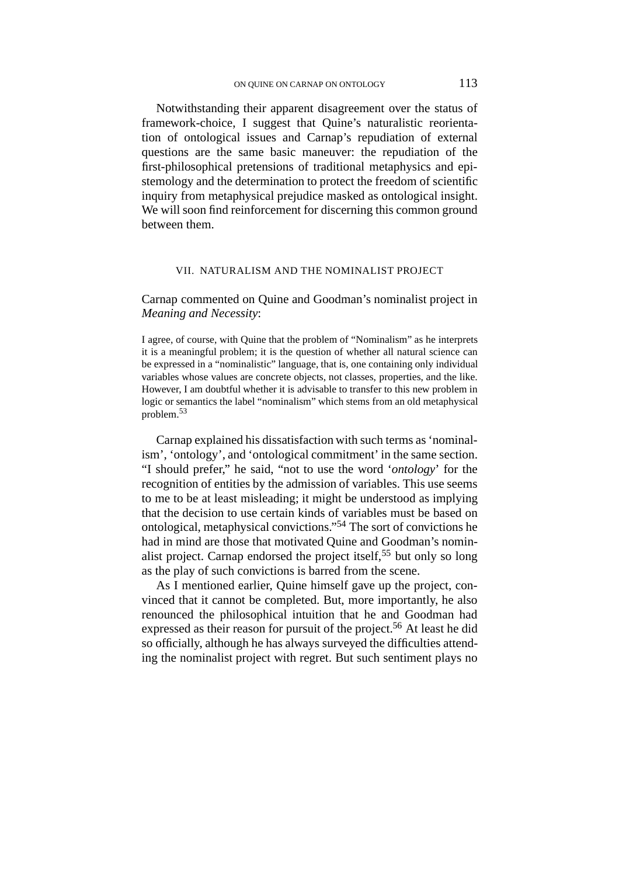Notwithstanding their apparent disagreement over the status of framework-choice, I suggest that Quine's naturalistic reorientation of ontological issues and Carnap's repudiation of external questions are the same basic maneuver: the repudiation of the first-philosophical pretensions of traditional metaphysics and epistemology and the determination to protect the freedom of scientific inquiry from metaphysical prejudice masked as ontological insight. We will soon find reinforcement for discerning this common ground between them.

#### VII. NATURALISM AND THE NOMINALIST PROJECT

Carnap commented on Quine and Goodman's nominalist project in *Meaning and Necessity*:

I agree, of course, with Quine that the problem of "Nominalism" as he interprets it is a meaningful problem; it is the question of whether all natural science can be expressed in a "nominalistic" language, that is, one containing only individual variables whose values are concrete objects, not classes, properties, and the like. However, I am doubtful whether it is advisable to transfer to this new problem in logic or semantics the label "nominalism" which stems from an old metaphysical problem.<sup>53</sup>

Carnap explained his dissatisfaction with such terms as 'nominalism', 'ontology', and 'ontological commitment' in the same section. "I should prefer," he said, "not to use the word '*ontology*' for the recognition of entities by the admission of variables. This use seems to me to be at least misleading; it might be understood as implying that the decision to use certain kinds of variables must be based on ontological, metaphysical convictions."<sup>54</sup> The sort of convictions he had in mind are those that motivated Quine and Goodman's nominalist project. Carnap endorsed the project itself,  $55$  but only so long as the play of such convictions is barred from the scene.

As I mentioned earlier, Quine himself gave up the project, convinced that it cannot be completed. But, more importantly, he also renounced the philosophical intuition that he and Goodman had expressed as their reason for pursuit of the project.<sup>56</sup> At least he did so officially, although he has always surveyed the difficulties attending the nominalist project with regret. But such sentiment plays no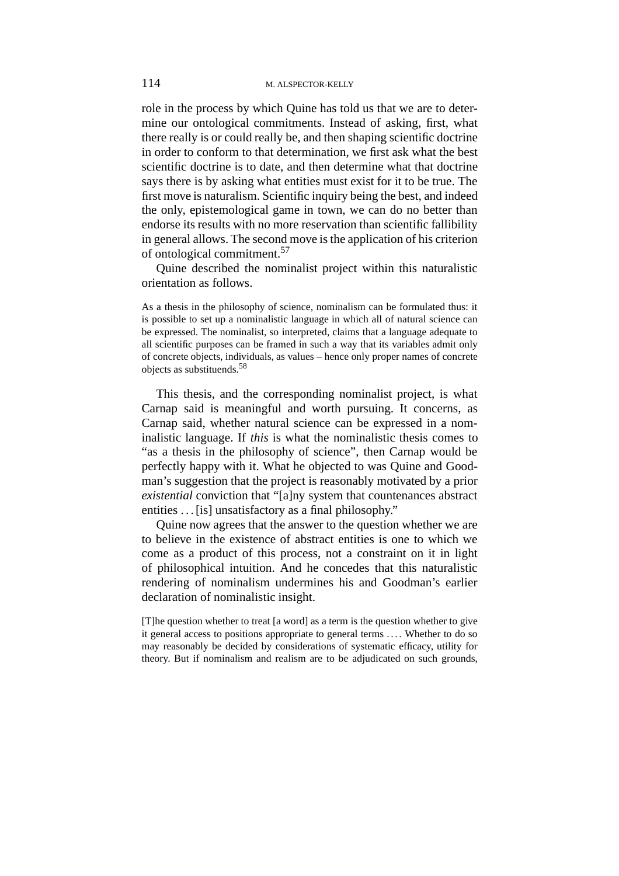role in the process by which Quine has told us that we are to determine our ontological commitments. Instead of asking, first, what there really is or could really be, and then shaping scientific doctrine in order to conform to that determination, we first ask what the best scientific doctrine is to date, and then determine what that doctrine says there is by asking what entities must exist for it to be true. The first move is naturalism. Scientific inquiry being the best, and indeed the only, epistemological game in town, we can do no better than endorse its results with no more reservation than scientific fallibility in general allows. The second move is the application of his criterion of ontological commitment.57

Quine described the nominalist project within this naturalistic orientation as follows.

As a thesis in the philosophy of science, nominalism can be formulated thus: it is possible to set up a nominalistic language in which all of natural science can be expressed. The nominalist, so interpreted, claims that a language adequate to all scientific purposes can be framed in such a way that its variables admit only of concrete objects, individuals, as values – hence only proper names of concrete objects as substituends.<sup>58</sup>

This thesis, and the corresponding nominalist project, is what Carnap said is meaningful and worth pursuing. It concerns, as Carnap said, whether natural science can be expressed in a nominalistic language. If *this* is what the nominalistic thesis comes to "as a thesis in the philosophy of science", then Carnap would be perfectly happy with it. What he objected to was Quine and Goodman's suggestion that the project is reasonably motivated by a prior *existential* conviction that "[a]ny system that countenances abstract entities . . . [is] unsatisfactory as a final philosophy."

Quine now agrees that the answer to the question whether we are to believe in the existence of abstract entities is one to which we come as a product of this process, not a constraint on it in light of philosophical intuition. And he concedes that this naturalistic rendering of nominalism undermines his and Goodman's earlier declaration of nominalistic insight.

[T]he question whether to treat [a word] as a term is the question whether to give it general access to positions appropriate to general terms . . . . Whether to do so may reasonably be decided by considerations of systematic efficacy, utility for theory. But if nominalism and realism are to be adjudicated on such grounds,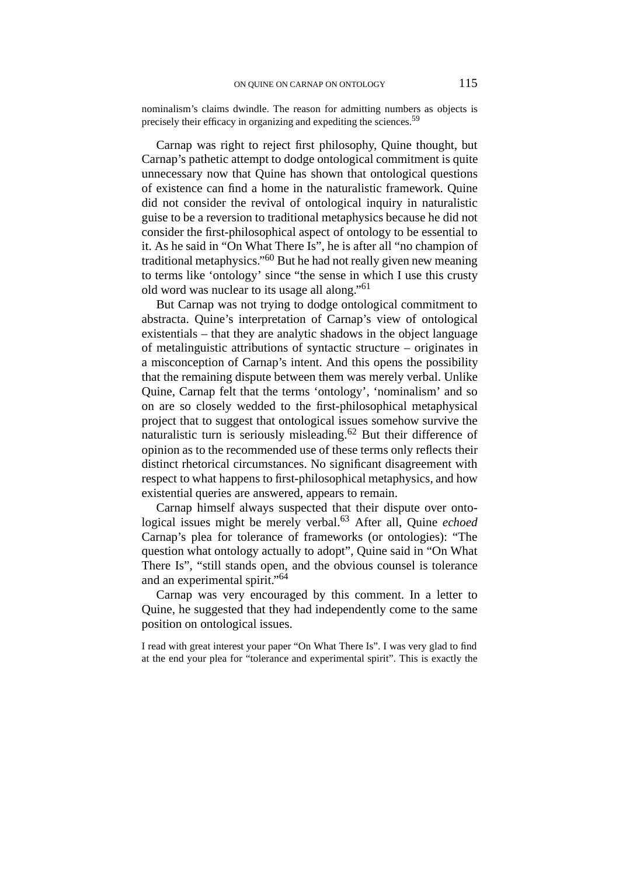nominalism's claims dwindle. The reason for admitting numbers as objects is precisely their efficacy in organizing and expediting the sciences.59

Carnap was right to reject first philosophy, Quine thought, but Carnap's pathetic attempt to dodge ontological commitment is quite unnecessary now that Quine has shown that ontological questions of existence can find a home in the naturalistic framework. Quine did not consider the revival of ontological inquiry in naturalistic guise to be a reversion to traditional metaphysics because he did not consider the first-philosophical aspect of ontology to be essential to it. As he said in "On What There Is", he is after all "no champion of traditional metaphysics."60 But he had not really given new meaning to terms like 'ontology' since "the sense in which I use this crusty old word was nuclear to its usage all along."61

But Carnap was not trying to dodge ontological commitment to abstracta. Quine's interpretation of Carnap's view of ontological existentials – that they are analytic shadows in the object language of metalinguistic attributions of syntactic structure – originates in a misconception of Carnap's intent. And this opens the possibility that the remaining dispute between them was merely verbal. Unlike Quine, Carnap felt that the terms 'ontology', 'nominalism' and so on are so closely wedded to the first-philosophical metaphysical project that to suggest that ontological issues somehow survive the naturalistic turn is seriously misleading.<sup>62</sup> But their difference of opinion as to the recommended use of these terms only reflects their distinct rhetorical circumstances. No significant disagreement with respect to what happens to first-philosophical metaphysics, and how existential queries are answered, appears to remain.

Carnap himself always suspected that their dispute over ontological issues might be merely verbal.63 After all, Quine *echoed* Carnap's plea for tolerance of frameworks (or ontologies): "The question what ontology actually to adopt", Quine said in "On What There Is", "still stands open, and the obvious counsel is tolerance and an experimental spirit."64

Carnap was very encouraged by this comment. In a letter to Quine, he suggested that they had independently come to the same position on ontological issues.

I read with great interest your paper "On What There Is". I was very glad to find at the end your plea for "tolerance and experimental spirit". This is exactly the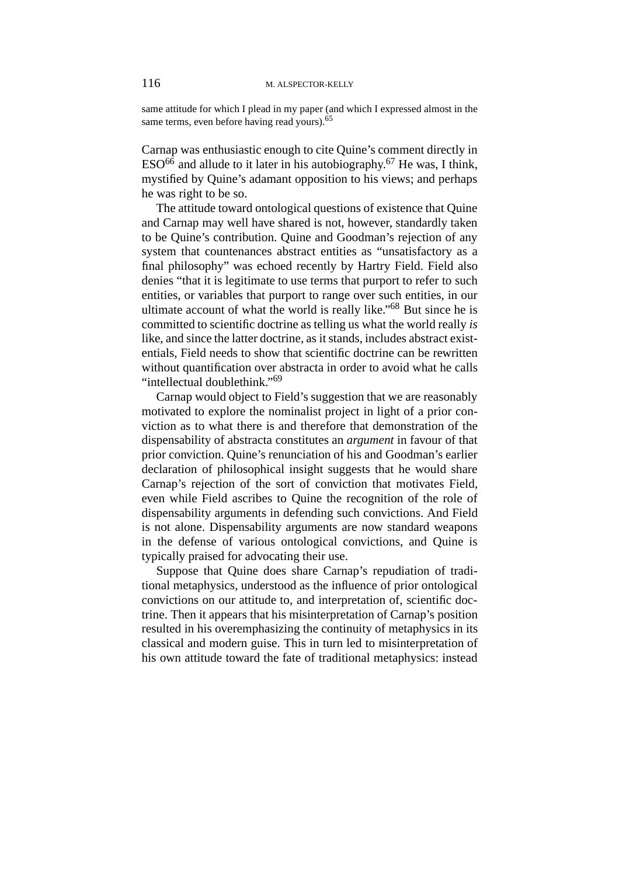same attitude for which I plead in my paper (and which I expressed almost in the same terms, even before having read yours).<sup>65</sup>

Carnap was enthusiastic enough to cite Quine's comment directly in  $ESO<sup>66</sup>$  and allude to it later in his autobiography.<sup>67</sup> He was, I think, mystified by Quine's adamant opposition to his views; and perhaps he was right to be so.

The attitude toward ontological questions of existence that Quine and Carnap may well have shared is not, however, standardly taken to be Quine's contribution. Quine and Goodman's rejection of any system that countenances abstract entities as "unsatisfactory as a final philosophy" was echoed recently by Hartry Field. Field also denies "that it is legitimate to use terms that purport to refer to such entities, or variables that purport to range over such entities, in our ultimate account of what the world is really like."68 But since he is committed to scientific doctrine as telling us what the world really *is* like, and since the latter doctrine, as it stands, includes abstract existentials, Field needs to show that scientific doctrine can be rewritten without quantification over abstracta in order to avoid what he calls "intellectual doublethink."<sup>69</sup>

Carnap would object to Field's suggestion that we are reasonably motivated to explore the nominalist project in light of a prior conviction as to what there is and therefore that demonstration of the dispensability of abstracta constitutes an *argument* in favour of that prior conviction. Quine's renunciation of his and Goodman's earlier declaration of philosophical insight suggests that he would share Carnap's rejection of the sort of conviction that motivates Field, even while Field ascribes to Quine the recognition of the role of dispensability arguments in defending such convictions. And Field is not alone. Dispensability arguments are now standard weapons in the defense of various ontological convictions, and Quine is typically praised for advocating their use.

Suppose that Quine does share Carnap's repudiation of traditional metaphysics, understood as the influence of prior ontological convictions on our attitude to, and interpretation of, scientific doctrine. Then it appears that his misinterpretation of Carnap's position resulted in his overemphasizing the continuity of metaphysics in its classical and modern guise. This in turn led to misinterpretation of his own attitude toward the fate of traditional metaphysics: instead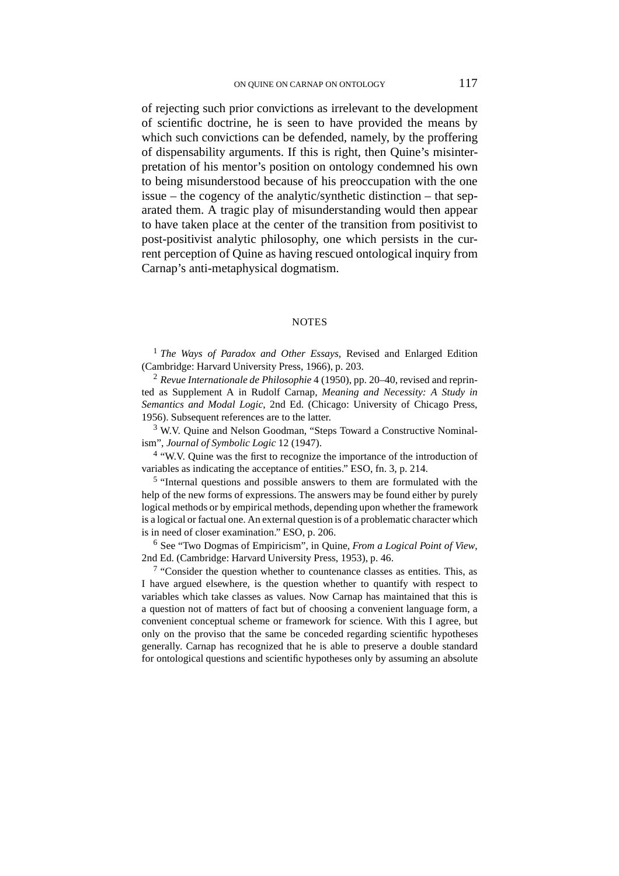of rejecting such prior convictions as irrelevant to the development of scientific doctrine, he is seen to have provided the means by which such convictions can be defended, namely, by the proffering of dispensability arguments. If this is right, then Quine's misinterpretation of his mentor's position on ontology condemned his own to being misunderstood because of his preoccupation with the one issue – the cogency of the analytic/synthetic distinction – that separated them. A tragic play of misunderstanding would then appear to have taken place at the center of the transition from positivist to post-positivist analytic philosophy, one which persists in the current perception of Quine as having rescued ontological inquiry from Carnap's anti-metaphysical dogmatism.

#### **NOTES**

<sup>1</sup> *The Ways of Paradox and Other Essays*, Revised and Enlarged Edition (Cambridge: Harvard University Press, 1966), p. 203.

<sup>2</sup> *Revue Internationale de Philosophie* 4 (1950), pp. 20–40, revised and reprinted as Supplement A in Rudolf Carnap, *Meaning and Necessity: A Study in Semantics and Modal Logic*, 2nd Ed. (Chicago: University of Chicago Press, 1956). Subsequent references are to the latter.

<sup>3</sup> W.V. Quine and Nelson Goodman, "Steps Toward a Constructive Nominalism", *Journal of Symbolic Logic* 12 (1947).

<sup>4</sup> "W.V. Quine was the first to recognize the importance of the introduction of variables as indicating the acceptance of entities." ESO, fn. 3, p. 214.

<sup>5</sup> "Internal questions and possible answers to them are formulated with the help of the new forms of expressions. The answers may be found either by purely logical methods or by empirical methods, depending upon whether the framework is a logical or factual one. An external question is of a problematic character which is in need of closer examination." ESO, p. 206.

<sup>6</sup> See "Two Dogmas of Empiricism", in Quine, *From a Logical Point of View*, 2nd Ed. (Cambridge: Harvard University Press, 1953), p. 46.

<sup>7</sup> "Consider the question whether to countenance classes as entities. This, as I have argued elsewhere, is the question whether to quantify with respect to variables which take classes as values. Now Carnap has maintained that this is a question not of matters of fact but of choosing a convenient language form, a convenient conceptual scheme or framework for science. With this I agree, but only on the proviso that the same be conceded regarding scientific hypotheses generally. Carnap has recognized that he is able to preserve a double standard for ontological questions and scientific hypotheses only by assuming an absolute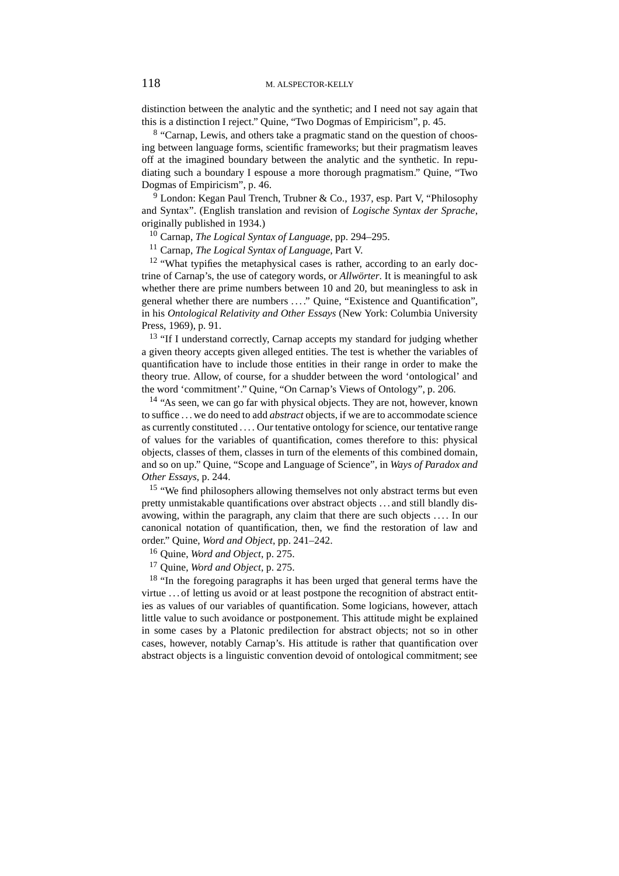distinction between the analytic and the synthetic; and I need not say again that this is a distinction I reject." Quine, "Two Dogmas of Empiricism", p. 45.

<sup>8</sup> "Carnap, Lewis, and others take a pragmatic stand on the question of choosing between language forms, scientific frameworks; but their pragmatism leaves off at the imagined boundary between the analytic and the synthetic. In repudiating such a boundary I espouse a more thorough pragmatism." Quine, "Two Dogmas of Empiricism", p. 46.

<sup>9</sup> London: Kegan Paul Trench, Trubner & Co., 1937, esp. Part V, "Philosophy and Syntax". (English translation and revision of *Logische Syntax der Sprache*, originally published in 1934.)

<sup>10</sup> Carnap, *The Logical Syntax of Language*, pp. 294–295.

<sup>11</sup> Carnap, *The Logical Syntax of Language*, Part V.

 $12$  "What typifies the metaphysical cases is rather, according to an early doctrine of Carnap's, the use of category words, or *Allwörter*. It is meaningful to ask whether there are prime numbers between 10 and 20, but meaningless to ask in general whether there are numbers . . . ." Quine, "Existence and Quantification", in his *Ontological Relativity and Other Essays* (New York: Columbia University Press, 1969), p. 91.

<sup>13</sup> "If I understand correctly, Carnap accepts my standard for judging whether a given theory accepts given alleged entities. The test is whether the variables of quantification have to include those entities in their range in order to make the theory true. Allow, of course, for a shudder between the word 'ontological' and the word 'commitment'." Quine, "On Carnap's Views of Ontology", p. 206.

<sup>14</sup> "As seen, we can go far with physical objects. They are not, however, known to suffice . . . we do need to add *abstract* objects, if we are to accommodate science as currently constituted . . . . Our tentative ontology for science, our tentative range of values for the variables of quantification, comes therefore to this: physical objects, classes of them, classes in turn of the elements of this combined domain, and so on up." Quine, "Scope and Language of Science", in *Ways of Paradox and Other Essays*, p. 244.

<sup>15</sup> "We find philosophers allowing themselves not only abstract terms but even pretty unmistakable quantifications over abstract objects . . . and still blandly disavowing, within the paragraph, any claim that there are such objects . . . . In our canonical notation of quantification, then, we find the restoration of law and order." Quine, *Word and Object*, pp. 241–242.

<sup>16</sup> Quine, *Word and Object*, p. 275.

<sup>17</sup> Quine, *Word and Object*, p. 275.

<sup>18</sup> "In the foregoing paragraphs it has been urged that general terms have the virtue . . . of letting us avoid or at least postpone the recognition of abstract entities as values of our variables of quantification. Some logicians, however, attach little value to such avoidance or postponement. This attitude might be explained in some cases by a Platonic predilection for abstract objects; not so in other cases, however, notably Carnap's. His attitude is rather that quantification over abstract objects is a linguistic convention devoid of ontological commitment; see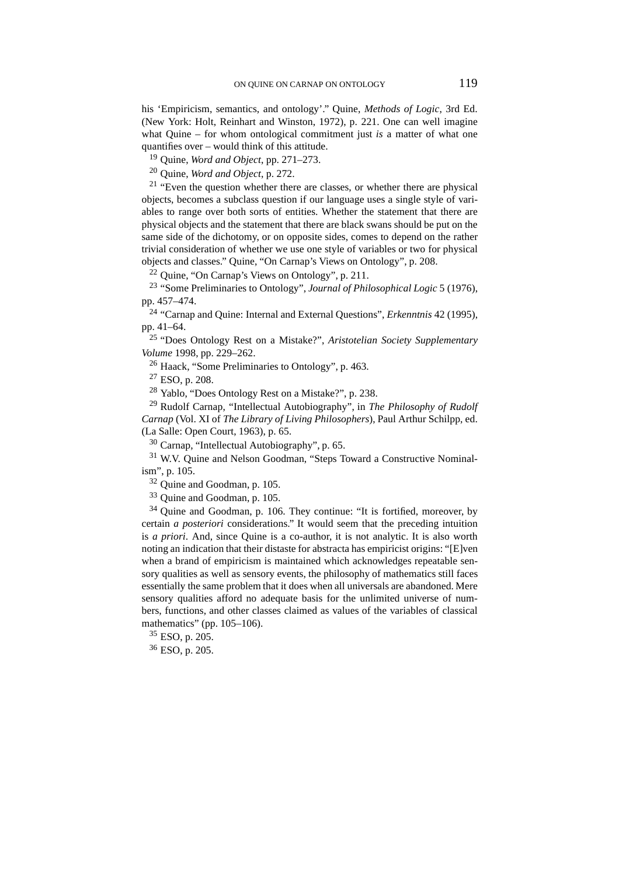his 'Empiricism, semantics, and ontology'." Quine, *Methods of Logic*, 3rd Ed. (New York: Holt, Reinhart and Winston, 1972), p. 221. One can well imagine what Quine – for whom ontological commitment just *is* a matter of what one quantifies over – would think of this attitude.

<sup>19</sup> Quine, *Word and Object*, pp. 271–273.

<sup>20</sup> Quine, *Word and Object*, p. 272.

 $21$  "Even the question whether there are classes, or whether there are physical objects, becomes a subclass question if our language uses a single style of variables to range over both sorts of entities. Whether the statement that there are physical objects and the statement that there are black swans should be put on the same side of the dichotomy, or on opposite sides, comes to depend on the rather trivial consideration of whether we use one style of variables or two for physical objects and classes." Quine, "On Carnap's Views on Ontology", p. 208.

<sup>22</sup> Quine, "On Carnap's Views on Ontology", p. 211.

<sup>23</sup> "Some Preliminaries to Ontology", *Journal of Philosophical Logic* 5 (1976), pp. 457–474.

<sup>24</sup> "Carnap and Quine: Internal and External Questions", *Erkenntnis* 42 (1995), pp. 41–64.

<sup>25</sup> "Does Ontology Rest on a Mistake?", *Aristotelian Society Supplementary Volume* 1998, pp. 229–262.

<sup>26</sup> Haack, "Some Preliminaries to Ontology", p. 463.

 $27$  ESO, p. 208.

<sup>28</sup> Yablo, "Does Ontology Rest on a Mistake?", p. 238.

<sup>29</sup> Rudolf Carnap, "Intellectual Autobiography", in *The Philosophy of Rudolf Carnap* (Vol. XI of *The Library of Living Philosophers*), Paul Arthur Schilpp, ed. (La Salle: Open Court, 1963), p. 65.

<sup>30</sup> Carnap, "Intellectual Autobiography", p. 65.

<sup>31</sup> W.V. Quine and Nelson Goodman, "Steps Toward a Constructive Nominalism", p. 105.

<sup>32</sup> Quine and Goodman, p. 105.

<sup>33</sup> Quine and Goodman, p. 105.

 $34$  Quine and Goodman, p. 106. They continue: "It is fortified, moreover, by certain *a posteriori* considerations." It would seem that the preceding intuition is *a priori*. And, since Quine is a co-author, it is not analytic. It is also worth noting an indication that their distaste for abstracta has empiricist origins: "[E]ven when a brand of empiricism is maintained which acknowledges repeatable sensory qualities as well as sensory events, the philosophy of mathematics still faces essentially the same problem that it does when all universals are abandoned. Mere sensory qualities afford no adequate basis for the unlimited universe of numbers, functions, and other classes claimed as values of the variables of classical mathematics" (pp. 105–106).

<sup>35</sup> ESO, p. 205.

<sup>36</sup> ESO, p. 205.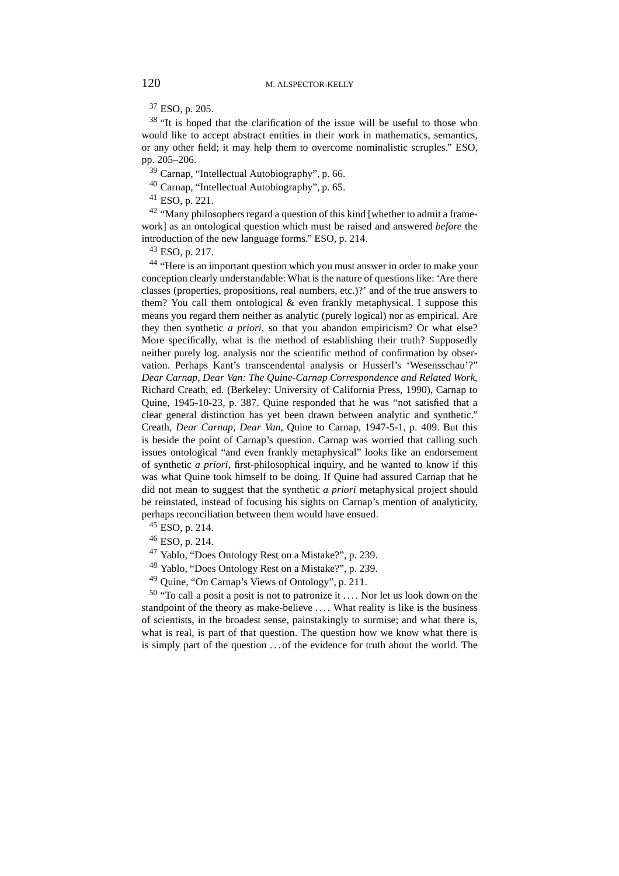<sup>37</sup> ESO, p. 205.

 $38$  "It is hoped that the clarification of the issue will be useful to those who would like to accept abstract entities in their work in mathematics, semantics, or any other field; it may help them to overcome nominalistic scruples." ESO, pp. 205–206.

<sup>39</sup> Carnap, "Intellectual Autobiography", p. 66.

<sup>40</sup> Carnap, "Intellectual Autobiography", p. 65.

<sup>41</sup> ESO, p. 221.

 $42$  "Many philosophers regard a question of this kind [whether to admit a framework] as an ontological question which must be raised and answered *before* the introduction of the new language forms." ESO, p. 214.

 $43$  ESO, p. 217.

<sup>44</sup> "Here is an important question which you must answer in order to make your conception clearly understandable: What is the nature of questions like: 'Are there classes (properties, propositions, real numbers, etc.)?' and of the true answers to them? You call them ontological & even frankly metaphysical. I suppose this means you regard them neither as analytic (purely logical) nor as empirical. Are they then synthetic *a priori*, so that you abandon empiricism? Or what else? More specifically, what is the method of establishing their truth? Supposedly neither purely log. analysis nor the scientific method of confirmation by observation. Perhaps Kant's transcendental analysis or Husserl's 'Wesensschau'?" *Dear Carnap, Dear Van: The Quine-Carnap Correspondence and Related Work*, Richard Creath, ed. (Berkeley: University of California Press, 1990), Carnap to Quine, 1945-10-23, p. 387. Quine responded that he was "not satisfied that a clear general distinction has yet been drawn between analytic and synthetic." Creath, *Dear Carnap, Dear Van*, Quine to Carnap, 1947-5-1, p. 409. But this is beside the point of Carnap's question. Carnap was worried that calling such issues ontological "and even frankly metaphysical" looks like an endorsement of synthetic *a priori*, first-philosophical inquiry, and he wanted to know if this was what Quine took himself to be doing. If Quine had assured Carnap that he did not mean to suggest that the synthetic *a priori* metaphysical project should be reinstated, instead of focusing his sights on Carnap's mention of analyticity, perhaps reconciliation between them would have ensued.

- <sup>45</sup> ESO, p. 214.
- <sup>46</sup> ESO, p. 214.
- <sup>47</sup> Yablo, "Does Ontology Rest on a Mistake?", p. 239.
- <sup>48</sup> Yablo, "Does Ontology Rest on a Mistake?", p. 239.
- <sup>49</sup> Quine, "On Carnap's Views of Ontology", p. 211.

 $50$  "To call a posit a posit is not to patronize it .... Nor let us look down on the standpoint of the theory as make-believe .... What reality is like is the business of scientists, in the broadest sense, painstakingly to surmise; and what there is, what is real, is part of that question. The question how we know what there is is simply part of the question . . . of the evidence for truth about the world. The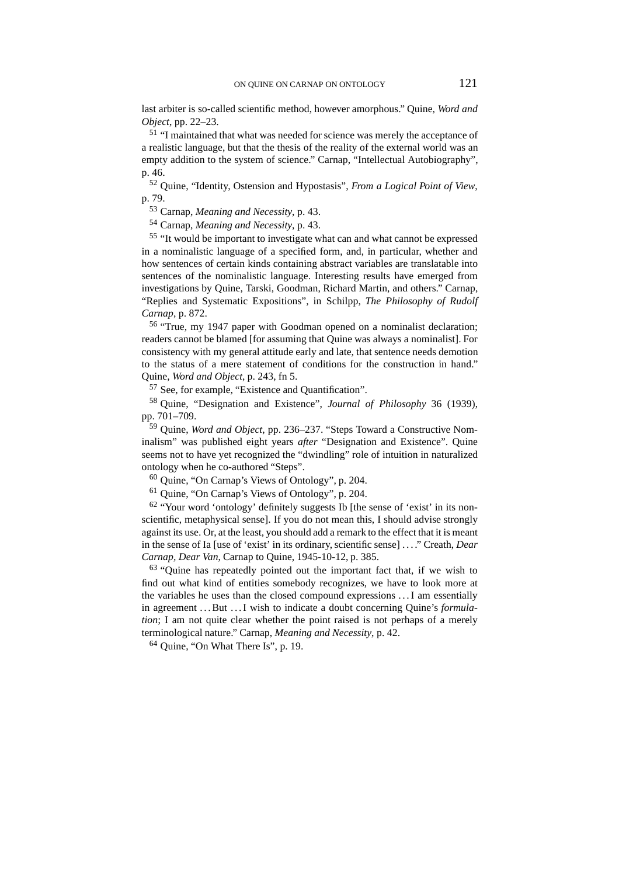last arbiter is so-called scientific method, however amorphous." Quine, *Word and Object*, pp. 22–23.

<sup>51</sup> "I maintained that what was needed for science was merely the acceptance of a realistic language, but that the thesis of the reality of the external world was an empty addition to the system of science." Carnap, "Intellectual Autobiography", p. 46.

<sup>52</sup> Quine, "Identity, Ostension and Hypostasis", *From a Logical Point of View*, p. 79.

<sup>53</sup> Carnap, *Meaning and Necessity*, p. 43.

<sup>54</sup> Carnap, *Meaning and Necessity*, p. 43.

<sup>55</sup> "It would be important to investigate what can and what cannot be expressed in a nominalistic language of a specified form, and, in particular, whether and how sentences of certain kinds containing abstract variables are translatable into sentences of the nominalistic language. Interesting results have emerged from investigations by Quine, Tarski, Goodman, Richard Martin, and others." Carnap, "Replies and Systematic Expositions", in Schilpp, *The Philosophy of Rudolf Carnap*, p. 872.

<sup>56</sup> "True, my 1947 paper with Goodman opened on a nominalist declaration; readers cannot be blamed [for assuming that Quine was always a nominalist]. For consistency with my general attitude early and late, that sentence needs demotion to the status of a mere statement of conditions for the construction in hand." Quine, *Word and Object*, p. 243, fn 5.

<sup>57</sup> See, for example, "Existence and Quantification".

<sup>58</sup> Quine, "Designation and Existence", *Journal of Philosophy* 36 (1939), pp. 701–709.

<sup>59</sup> Quine, *Word and Object*, pp. 236–237. "Steps Toward a Constructive Nominalism" was published eight years *after* "Designation and Existence". Quine seems not to have yet recognized the "dwindling" role of intuition in naturalized ontology when he co-authored "Steps".

<sup>60</sup> Quine, "On Carnap's Views of Ontology", p. 204.

<sup>61</sup> Quine, "On Carnap's Views of Ontology", p. 204.

 $62$  "Your word 'ontology' definitely suggests Ib [the sense of 'exist' in its nonscientific, metaphysical sense]. If you do not mean this, I should advise strongly against its use. Or, at the least, you should add a remark to the effect that it is meant in the sense of Ia [use of 'exist' in its ordinary, scientific sense] . . . ." Creath, *Dear Carnap, Dear Van*, Carnap to Quine, 1945-10-12, p. 385.

<sup>63</sup> "Quine has repeatedly pointed out the important fact that, if we wish to find out what kind of entities somebody recognizes, we have to look more at the variables he uses than the closed compound expressions . . . I am essentially in agreement ...But ...I wish to indicate a doubt concerning Quine's *formulation*; I am not quite clear whether the point raised is not perhaps of a merely terminological nature." Carnap, *Meaning and Necessity*, p. 42.

<sup>64</sup> Quine, "On What There Is", p. 19.